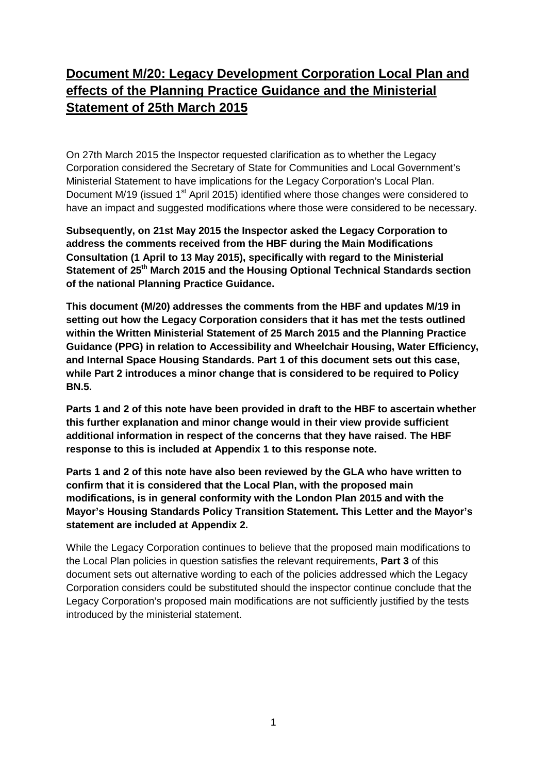# **Document M/20: Legacy Development Corporation Local Plan and effects of the Planning Practice Guidance and the Ministerial Statement of 25th March 2015**

On 27th March 2015 the Inspector requested clarification as to whether the Legacy Corporation considered the Secretary of State for Communities and Local Government's Ministerial Statement to have implications for the Legacy Corporation's Local Plan. Document M/19 (issued 1 $st$  April 2015) identified where those changes were considered to have an impact and suggested modifications where those were considered to be necessary.

**Subsequently, on 21st May 2015 the Inspector asked the Legacy Corporation to address the comments received from the HBF during the Main Modifications Consultation (1 April to 13 May 2015), specifically with regard to the Ministerial Statement of 25th March 2015 and the Housing Optional Technical Standards section of the national Planning Practice Guidance.** 

**This document (M/20) addresses the comments from the HBF and updates M/19 in setting out how the Legacy Corporation considers that it has met the tests outlined within the Written Ministerial Statement of 25 March 2015 and the Planning Practice Guidance (PPG) in relation to Accessibility and Wheelchair Housing, Water Efficiency, and Internal Space Housing Standards. Part 1 of this document sets out this case, while Part 2 introduces a minor change that is considered to be required to Policy BN.5.**

**Parts 1 and 2 of this note have been provided in draft to the HBF to ascertain whether this further explanation and minor change would in their view provide sufficient additional information in respect of the concerns that they have raised. The HBF response to this is included at Appendix 1 to this response note.**

**Parts 1 and 2 of this note have also been reviewed by the GLA who have written to confirm that it is considered that the Local Plan, with the proposed main modifications, is in general conformity with the London Plan 2015 and with the Mayor's Housing Standards Policy Transition Statement. This Letter and the Mayor's statement are included at Appendix 2.**

While the Legacy Corporation continues to believe that the proposed main modifications to the Local Plan policies in question satisfies the relevant requirements, **Part 3** of this document sets out alternative wording to each of the policies addressed which the Legacy Corporation considers could be substituted should the inspector continue conclude that the Legacy Corporation's proposed main modifications are not sufficiently justified by the tests introduced by the ministerial statement.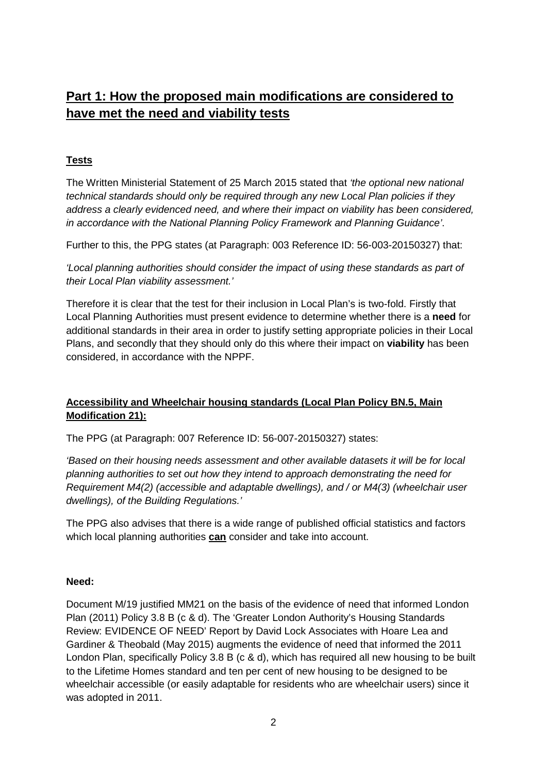# **Part 1: How the proposed main modifications are considered to have met the need and viability tests**

### **Tests**

The Written Ministerial Statement of 25 March 2015 stated that *'the optional new national technical standards should only be required through any new Local Plan policies if they address a clearly evidenced need, and where their impact on viability has been considered, in accordance with the National Planning Policy Framework and Planning Guidance'*.

Further to this, the PPG states (at Paragraph: 003 Reference ID: 56-003-20150327) that:

*'Local planning authorities should consider the impact of using these standards as part of their Local Plan viability assessment.'*

Therefore it is clear that the test for their inclusion in Local Plan's is two-fold. Firstly that Local Planning Authorities must present evidence to determine whether there is a **need** for additional standards in their area in order to justify setting appropriate policies in their Local Plans, and secondly that they should only do this where their impact on **viability** has been considered, in accordance with the NPPF.

### **Accessibility and Wheelchair housing standards (Local Plan Policy BN.5, Main Modification 21):**

The PPG (at Paragraph: 007 Reference ID: 56-007-20150327) states:

*'Based on their housing needs assessment and other available datasets it will be for local planning authorities to set out how they intend to approach demonstrating the need for Requirement M4(2) (accessible and adaptable dwellings), and / or M4(3) (wheelchair user dwellings), of the Building Regulations.'*

The PPG also advises that there is a wide range of published official statistics and factors which local planning authorities **can** consider and take into account.

### **Need:**

Document M/19 justified MM21 on the basis of the evidence of need that informed London Plan (2011) Policy 3.8 B (c & d). The 'Greater London Authority's Housing Standards Review: EVIDENCE OF NEED' Report by David Lock Associates with Hoare Lea and Gardiner & Theobald (May 2015) augments the evidence of need that informed the 2011 London Plan, specifically Policy 3.8 B (c & d), which has required all new housing to be built to the Lifetime Homes standard and ten per cent of new housing to be designed to be wheelchair accessible (or easily adaptable for residents who are wheelchair users) since it was adopted in 2011.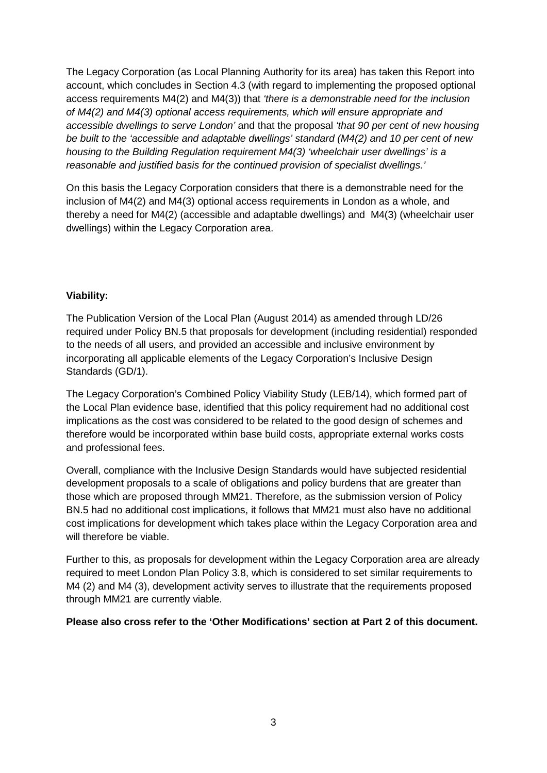The Legacy Corporation (as Local Planning Authority for its area) has taken this Report into account, which concludes in Section 4.3 (with regard to implementing the proposed optional access requirements M4(2) and M4(3)) that *'there is a demonstrable need for the inclusion of M4(2) and M4(3) optional access requirements, which will ensure appropriate and accessible dwellings to serve London'* and that the proposal *'that 90 per cent of new housing be built to the 'accessible and adaptable dwellings' standard (M4(2) and 10 per cent of new housing to the Building Regulation requirement M4(3) 'wheelchair user dwellings' is a reasonable and justified basis for the continued provision of specialist dwellings.'* 

On this basis the Legacy Corporation considers that there is a demonstrable need for the inclusion of M4(2) and M4(3) optional access requirements in London as a whole, and thereby a need for M4(2) (accessible and adaptable dwellings) and M4(3) (wheelchair user dwellings) within the Legacy Corporation area.

### **Viability:**

The Publication Version of the Local Plan (August 2014) as amended through LD/26 required under Policy BN.5 that proposals for development (including residential) responded to the needs of all users, and provided an accessible and inclusive environment by incorporating all applicable elements of the Legacy Corporation's Inclusive Design Standards (GD/1).

The Legacy Corporation's Combined Policy Viability Study (LEB/14), which formed part of the Local Plan evidence base, identified that this policy requirement had no additional cost implications as the cost was considered to be related to the good design of schemes and therefore would be incorporated within base build costs, appropriate external works costs and professional fees.

Overall, compliance with the Inclusive Design Standards would have subjected residential development proposals to a scale of obligations and policy burdens that are greater than those which are proposed through MM21. Therefore, as the submission version of Policy BN.5 had no additional cost implications, it follows that MM21 must also have no additional cost implications for development which takes place within the Legacy Corporation area and will therefore be viable.

Further to this, as proposals for development within the Legacy Corporation area are already required to meet London Plan Policy 3.8, which is considered to set similar requirements to M4 (2) and M4 (3), development activity serves to illustrate that the requirements proposed through MM21 are currently viable.

**Please also cross refer to the 'Other Modifications' section at Part 2 of this document.**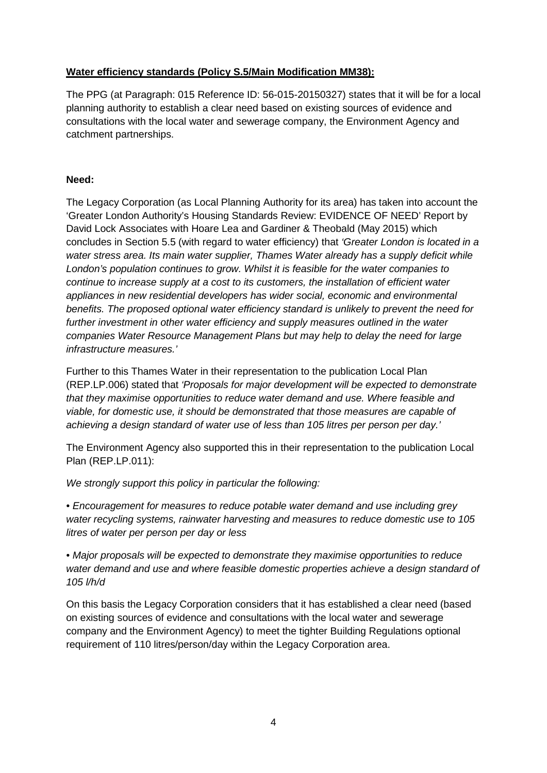### **Water efficiency standards (Policy S.5/Main Modification MM38):**

The PPG (at Paragraph: 015 Reference ID: 56-015-20150327) states that it will be for a local planning authority to establish a clear need based on existing sources of evidence and consultations with the local water and sewerage company, the Environment Agency and catchment partnerships.

### **Need:**

The Legacy Corporation (as Local Planning Authority for its area) has taken into account the 'Greater London Authority's Housing Standards Review: EVIDENCE OF NEED' Report by David Lock Associates with Hoare Lea and Gardiner & Theobald (May 2015) which concludes in Section 5.5 (with regard to water efficiency) that *'Greater London is located in a water stress area. Its main water supplier, Thames Water already has a supply deficit while London's population continues to grow. Whilst it is feasible for the water companies to continue to increase supply at a cost to its customers, the installation of efficient water appliances in new residential developers has wider social, economic and environmental benefits. The proposed optional water efficiency standard is unlikely to prevent the need for further investment in other water efficiency and supply measures outlined in the water companies Water Resource Management Plans but may help to delay the need for large infrastructure measures.'*

Further to this Thames Water in their representation to the publication Local Plan (REP.LP.006) stated that *'Proposals for major development will be expected to demonstrate that they maximise opportunities to reduce water demand and use. Where feasible and viable, for domestic use, it should be demonstrated that those measures are capable of achieving a design standard of water use of less than 105 litres per person per day.'*

The Environment Agency also supported this in their representation to the publication Local Plan (REP.LP.011):

*We strongly support this policy in particular the following:*

*• Encouragement for measures to reduce potable water demand and use including grey water recycling systems, rainwater harvesting and measures to reduce domestic use to 105 litres of water per person per day or less*

*• Major proposals will be expected to demonstrate they maximise opportunities to reduce water demand and use and where feasible domestic properties achieve a design standard of 105 l/h/d*

On this basis the Legacy Corporation considers that it has established a clear need (based on existing sources of evidence and consultations with the local water and sewerage company and the Environment Agency) to meet the tighter Building Regulations optional requirement of 110 litres/person/day within the Legacy Corporation area.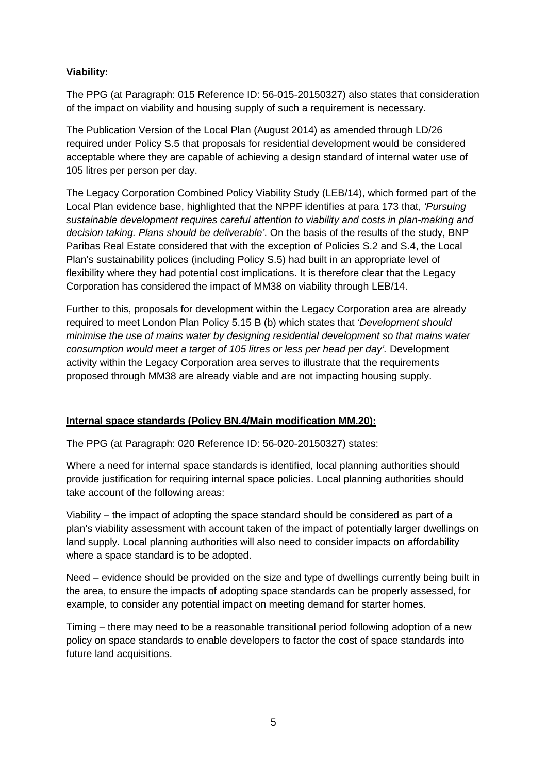### **Viability:**

The PPG (at Paragraph: 015 Reference ID: 56-015-20150327) also states that consideration of the impact on viability and housing supply of such a requirement is necessary.

The Publication Version of the Local Plan (August 2014) as amended through LD/26 required under Policy S.5 that proposals for residential development would be considered acceptable where they are capable of achieving a design standard of internal water use of 105 litres per person per day.

The Legacy Corporation Combined Policy Viability Study (LEB/14), which formed part of the Local Plan evidence base, highlighted that the NPPF identifies at para 173 that, *'Pursuing sustainable development requires careful attention to viability and costs in plan-making and decision taking. Plans should be deliverable'*. On the basis of the results of the study, BNP Paribas Real Estate considered that with the exception of Policies S.2 and S.4, the Local Plan's sustainability polices (including Policy S.5) had built in an appropriate level of flexibility where they had potential cost implications. It is therefore clear that the Legacy Corporation has considered the impact of MM38 on viability through LEB/14.

Further to this, proposals for development within the Legacy Corporation area are already required to meet London Plan Policy 5.15 B (b) which states that *'Development should minimise the use of mains water by designing residential development so that mains water consumption would meet a target of 105 litres or less per head per day'.* Development activity within the Legacy Corporation area serves to illustrate that the requirements proposed through MM38 are already viable and are not impacting housing supply.

### **Internal space standards (Policy BN.4/Main modification MM.20):**

The PPG (at Paragraph: 020 Reference ID: 56-020-20150327) states:

Where a need for internal space standards is identified, local planning authorities should provide justification for requiring internal space policies. Local planning authorities should take account of the following areas:

Viability – the impact of adopting the space standard should be considered as part of a plan's viability assessment with account taken of the impact of potentially larger dwellings on land supply. Local planning authorities will also need to consider impacts on affordability where a space standard is to be adopted.

Need – evidence should be provided on the size and type of dwellings currently being built in the area, to ensure the impacts of adopting space standards can be properly assessed, for example, to consider any potential impact on meeting demand for starter homes.

Timing – there may need to be a reasonable transitional period following adoption of a new policy on space standards to enable developers to factor the cost of space standards into future land acquisitions.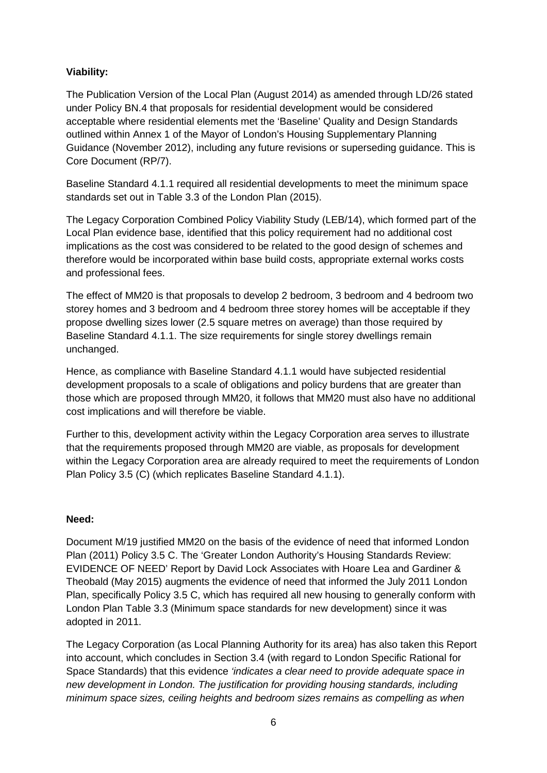### **Viability:**

The Publication Version of the Local Plan (August 2014) as amended through LD/26 stated under Policy BN.4 that proposals for residential development would be considered acceptable where residential elements met the 'Baseline' Quality and Design Standards outlined within Annex 1 of the Mayor of London's Housing Supplementary Planning Guidance (November 2012), including any future revisions or superseding guidance. This is Core Document (RP/7).

Baseline Standard 4.1.1 required all residential developments to meet the minimum space standards set out in Table 3.3 of the London Plan (2015).

The Legacy Corporation Combined Policy Viability Study (LEB/14), which formed part of the Local Plan evidence base, identified that this policy requirement had no additional cost implications as the cost was considered to be related to the good design of schemes and therefore would be incorporated within base build costs, appropriate external works costs and professional fees.

The effect of MM20 is that proposals to develop 2 bedroom, 3 bedroom and 4 bedroom two storey homes and 3 bedroom and 4 bedroom three storey homes will be acceptable if they propose dwelling sizes lower (2.5 square metres on average) than those required by Baseline Standard 4.1.1. The size requirements for single storey dwellings remain unchanged.

Hence, as compliance with Baseline Standard 4.1.1 would have subjected residential development proposals to a scale of obligations and policy burdens that are greater than those which are proposed through MM20, it follows that MM20 must also have no additional cost implications and will therefore be viable.

Further to this, development activity within the Legacy Corporation area serves to illustrate that the requirements proposed through MM20 are viable, as proposals for development within the Legacy Corporation area are already required to meet the requirements of London Plan Policy 3.5 (C) (which replicates Baseline Standard 4.1.1).

### **Need:**

Document M/19 justified MM20 on the basis of the evidence of need that informed London Plan (2011) Policy 3.5 C. The 'Greater London Authority's Housing Standards Review: EVIDENCE OF NEED' Report by David Lock Associates with Hoare Lea and Gardiner & Theobald (May 2015) augments the evidence of need that informed the July 2011 London Plan, specifically Policy 3.5 C, which has required all new housing to generally conform with London Plan Table 3.3 (Minimum space standards for new development) since it was adopted in 2011.

The Legacy Corporation (as Local Planning Authority for its area) has also taken this Report into account, which concludes in Section 3.4 (with regard to London Specific Rational for Space Standards) that this evidence *'indicates a clear need to provide adequate space in new development in London. The justification for providing housing standards, including minimum space sizes, ceiling heights and bedroom sizes remains as compelling as when*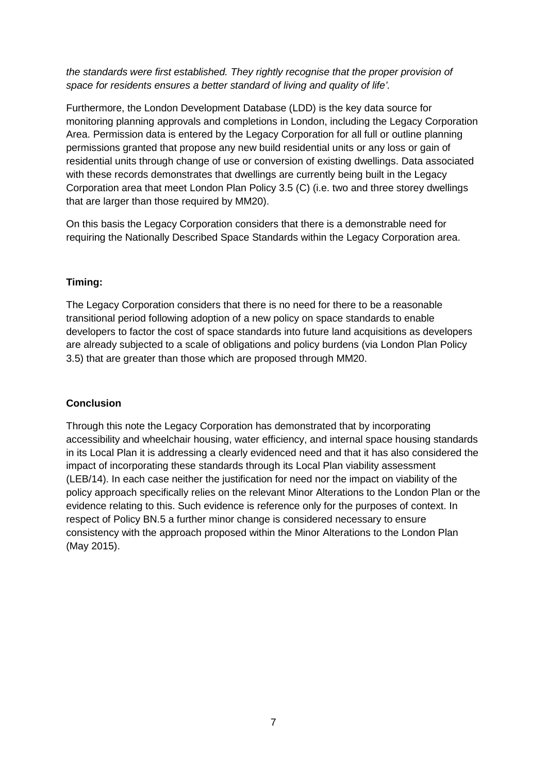*the standards were first established. They rightly recognise that the proper provision of space for residents ensures a better standard of living and quality of life'.*

Furthermore, the London Development Database (LDD) is the key data source for monitoring planning approvals and completions in London, including the Legacy Corporation Area. Permission data is entered by the Legacy Corporation for all full or outline planning permissions granted that propose any new build residential units or any loss or gain of residential units through change of use or conversion of existing dwellings. Data associated with these records demonstrates that dwellings are currently being built in the Legacy Corporation area that meet London Plan Policy 3.5 (C) (i.e. two and three storey dwellings that are larger than those required by MM20).

On this basis the Legacy Corporation considers that there is a demonstrable need for requiring the Nationally Described Space Standards within the Legacy Corporation area.

### **Timing:**

The Legacy Corporation considers that there is no need for there to be a reasonable transitional period following adoption of a new policy on space standards to enable developers to factor the cost of space standards into future land acquisitions as developers are already subjected to a scale of obligations and policy burdens (via London Plan Policy 3.5) that are greater than those which are proposed through MM20.

### **Conclusion**

Through this note the Legacy Corporation has demonstrated that by incorporating accessibility and wheelchair housing, water efficiency, and internal space housing standards in its Local Plan it is addressing a clearly evidenced need and that it has also considered the impact of incorporating these standards through its Local Plan viability assessment (LEB/14). In each case neither the justification for need nor the impact on viability of the policy approach specifically relies on the relevant Minor Alterations to the London Plan or the evidence relating to this. Such evidence is reference only for the purposes of context. In respect of Policy BN.5 a further minor change is considered necessary to ensure consistency with the approach proposed within the Minor Alterations to the London Plan (May 2015).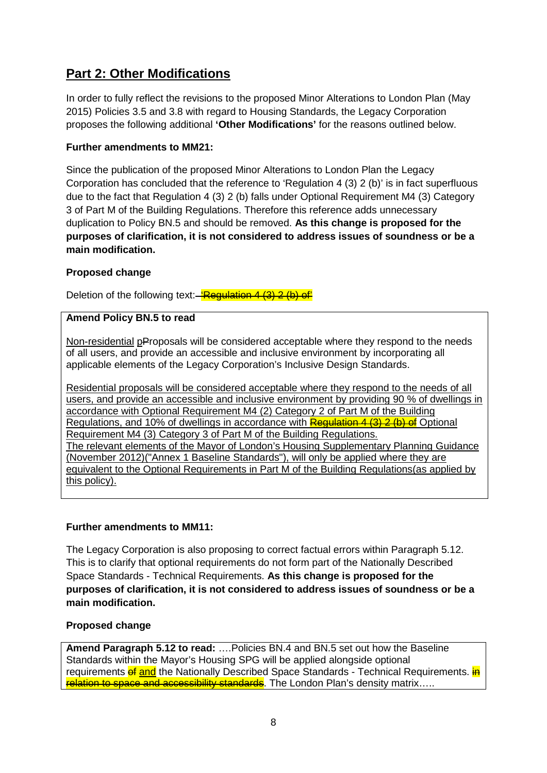# **Part 2: Other Modifications**

In order to fully reflect the revisions to the proposed Minor Alterations to London Plan (May 2015) Policies 3.5 and 3.8 with regard to Housing Standards, the Legacy Corporation proposes the following additional **'Other Modifications'** for the reasons outlined below.

### **Further amendments to MM21:**

Since the publication of the proposed Minor Alterations to London Plan the Legacy Corporation has concluded that the reference to 'Regulation 4 (3) 2 (b)' is in fact superfluous due to the fact that Regulation 4 (3) 2 (b) falls under Optional Requirement M4 (3) Category 3 of Part M of the Building Regulations. Therefore this reference adds unnecessary duplication to Policy BN.5 and should be removed. **As this change is proposed for the purposes of clarification, it is not considered to address issues of soundness or be a main modification.**

### **Proposed change**

Deletion of the following text: 'Regulation 4 (3) 2 (b) of

### **Amend Policy BN.5 to read**

Non-residential pProposals will be considered acceptable where they respond to the needs of all users, and provide an accessible and inclusive environment by incorporating all applicable elements of the Legacy Corporation's Inclusive Design Standards.

Residential proposals will be considered acceptable where they respond to the needs of all users, and provide an accessible and inclusive environment by providing 90 % of dwellings in accordance with Optional Requirement M4 (2) Category 2 of Part M of the Building Regulations, and 10% of dwellings in accordance with **Regulation 4 (3) 2 (b) of** Optional Requirement M4 (3) Category 3 of Part M of the Building Regulations. The relevant elements of the Mayor of London's Housing Supplementary Planning Guidance (November 2012)("Annex 1 Baseline Standards"), will only be applied where they are equivalent to the Optional Requirements in Part M of the Building Regulations(as applied by this policy).

### **Further amendments to MM11:**

The Legacy Corporation is also proposing to correct factual errors within Paragraph 5.12. This is to clarify that optional requirements do not form part of the Nationally Described Space Standards - Technical Requirements. **As this change is proposed for the purposes of clarification, it is not considered to address issues of soundness or be a main modification.**

### **Proposed change**

**Amend Paragraph 5.12 to read:** ….Policies BN.4 and BN.5 set out how the Baseline Standards within the Mayor's Housing SPG will be applied alongside optional requirements of and the Nationally Described Space Standards - Technical Requirements. in relation to space and accessibility standards. The London Plan's density matrix.....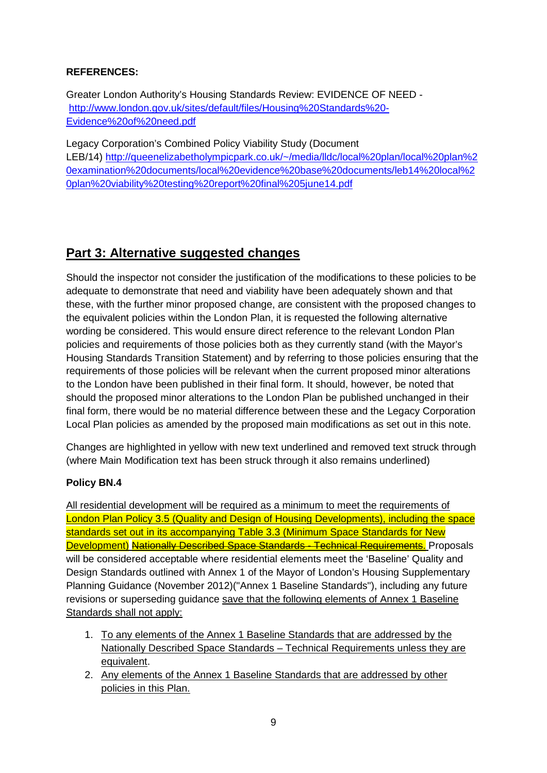### **REFERENCES:**

Greater London Authority's Housing Standards Review: EVIDENCE OF NEED [http://www.london.gov.uk/sites/default/files/Housing%20Standards%20-](http://www.london.gov.uk/sites/default/files/Housing%20Standards%20-Evidence%20of%20need.pdf) [Evidence%20of%20need.pdf](http://www.london.gov.uk/sites/default/files/Housing%20Standards%20-Evidence%20of%20need.pdf)

Legacy Corporation's Combined Policy Viability Study (Document LEB/14) [http://queenelizabetholympicpark.co.uk/~/media/lldc/local%20plan/local%20plan%2](http://queenelizabetholympicpark.co.uk/~/media/lldc/local%20plan/local%20plan%20examination%20documents/local%20evidence%20base%20documents/leb14%20local%20plan%20viability%20testing%20report%20final%205june14.pdf) [0examination%20documents/local%20evidence%20base%20documents/leb14%20local%2](http://queenelizabetholympicpark.co.uk/~/media/lldc/local%20plan/local%20plan%20examination%20documents/local%20evidence%20base%20documents/leb14%20local%20plan%20viability%20testing%20report%20final%205june14.pdf) [0plan%20viability%20testing%20report%20final%205june14.pdf](http://queenelizabetholympicpark.co.uk/~/media/lldc/local%20plan/local%20plan%20examination%20documents/local%20evidence%20base%20documents/leb14%20local%20plan%20viability%20testing%20report%20final%205june14.pdf)

# **Part 3: Alternative suggested changes**

Should the inspector not consider the justification of the modifications to these policies to be adequate to demonstrate that need and viability have been adequately shown and that these, with the further minor proposed change, are consistent with the proposed changes to the equivalent policies within the London Plan, it is requested the following alternative wording be considered. This would ensure direct reference to the relevant London Plan policies and requirements of those policies both as they currently stand (with the Mayor's Housing Standards Transition Statement) and by referring to those policies ensuring that the requirements of those policies will be relevant when the current proposed minor alterations to the London have been published in their final form. It should, however, be noted that should the proposed minor alterations to the London Plan be published unchanged in their final form, there would be no material difference between these and the Legacy Corporation Local Plan policies as amended by the proposed main modifications as set out in this note.

Changes are highlighted in yellow with new text underlined and removed text struck through (where Main Modification text has been struck through it also remains underlined)

### **Policy BN.4**

All residential development will be required as a minimum to meet the requirements of London Plan Policy 3.5 (Quality and Design of Housing Developments), including the space standards set out in its accompanying Table 3.3 (Minimum Space Standards for New Development) Nationally Described Space Standards - Technical Requirements. Proposals will be considered acceptable where residential elements meet the 'Baseline' Quality and Design Standards outlined with Annex 1 of the Mayor of London's Housing Supplementary Planning Guidance (November 2012)("Annex 1 Baseline Standards"), including any future revisions or superseding guidance save that the following elements of Annex 1 Baseline Standards shall not apply:

- 1. To any elements of the Annex 1 Baseline Standards that are addressed by the Nationally Described Space Standards – Technical Requirements unless they are equivalent.
- 2. Any elements of the Annex 1 Baseline Standards that are addressed by other policies in this Plan.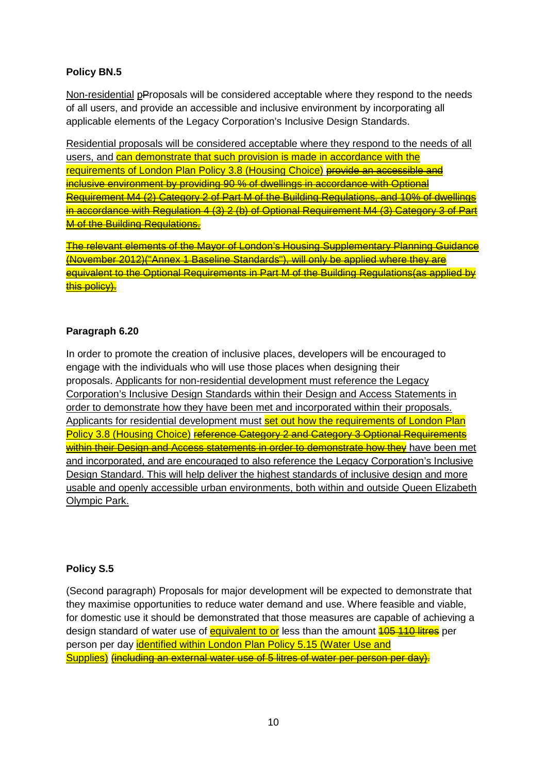### **Policy BN.5**

Non-residential pProposals will be considered acceptable where they respond to the needs of all users, and provide an accessible and inclusive environment by incorporating all applicable elements of the Legacy Corporation's Inclusive Design Standards.

Residential proposals will be considered acceptable where they respond to the needs of all users, and can demonstrate that such provision is made in accordance with the requirements of London Plan Policy 3.8 (Housing Choice) provide an accessible and inclusive environment by providing 90 % of dwellings in accordance with Optional Requirement M4 (2) Category 2 of Part M of the Building Regulations, and 10% of dwellings in accordance with Regulation 4 (3) 2 (b) of Optional Requirement M4 (3) Category 3 of Part **M of the Building Requlations.** 

The relevant elements of the Mayor of London's Housing Supplementary Planning Guidance (November 2012)("Annex 1 Baseline Standards"), will only be applied where they are equivalent to the Optional Requirements in Part M of the Building Regulations(as applied by this policy).

### **Paragraph 6.20**

In order to promote the creation of inclusive places, developers will be encouraged to engage with the individuals who will use those places when designing their proposals. Applicants for non-residential development must reference the Legacy Corporation's Inclusive Design Standards within their Design and Access Statements in order to demonstrate how they have been met and incorporated within their proposals. Applicants for residential development must set out how the requirements of London Plan Policy 3.8 (Housing Choice) reference Category 2 and Category 3 Optional Requirements within their Design and Access statements in order to demonstrate how they have been met and incorporated, and are encouraged to also reference the Legacy Corporation's Inclusive Design Standard. This will help deliver the highest standards of inclusive design and more usable and openly accessible urban environments, both within and outside Queen Elizabeth Olympic Park.

### **Policy S.5**

(Second paragraph) Proposals for major development will be expected to demonstrate that they maximise opportunities to reduce water demand and use. Where feasible and viable, for domestic use it should be demonstrated that those measures are capable of achieving a design standard of water use of equivalent to or less than the amount **105 110 litres** per person per day identified within London Plan Policy 5.15 (Water Use and Supplies) (including an external water use of 5 litres of water per person per day).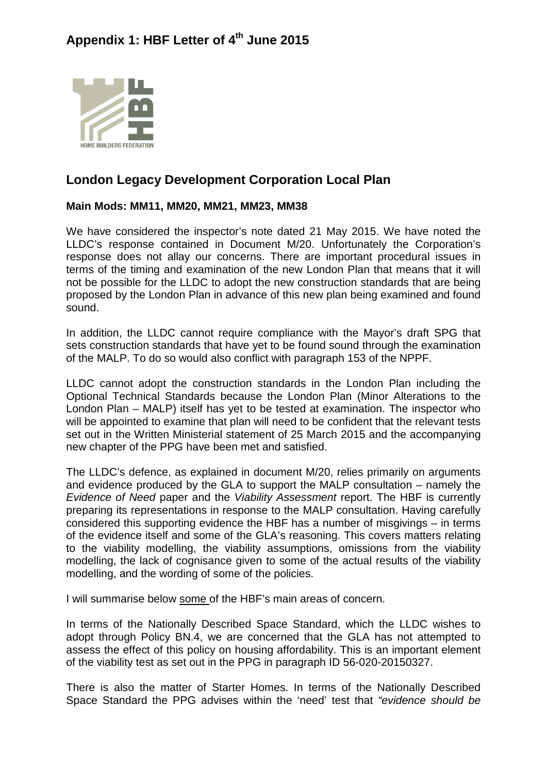# Appendix 1: HBF Letter of 4<sup>th</sup> June 2015



# **London Legacy Development Corporation Local Plan**

### **Main Mods: MM11, MM20, MM21, MM23, MM38**

We have considered the inspector's note dated 21 May 2015. We have noted the LLDC's response contained in Document M/20. Unfortunately the Corporation's response does not allay our concerns. There are important procedural issues in terms of the timing and examination of the new London Plan that means that it will not be possible for the LLDC to adopt the new construction standards that are being proposed by the London Plan in advance of this new plan being examined and found sound.

In addition, the LLDC cannot require compliance with the Mayor's draft SPG that sets construction standards that have yet to be found sound through the examination of the MALP. To do so would also conflict with paragraph 153 of the NPPF.

LLDC cannot adopt the construction standards in the London Plan including the Optional Technical Standards because the London Plan (Minor Alterations to the London Plan – MALP) itself has yet to be tested at examination. The inspector who will be appointed to examine that plan will need to be confident that the relevant tests set out in the Written Ministerial statement of 25 March 2015 and the accompanying new chapter of the PPG have been met and satisfied.

The LLDC's defence, as explained in document M/20, relies primarily on arguments and evidence produced by the GLA to support the MALP consultation – namely the *Evidence of Need* paper and the *Viability Assessment* report. The HBF is currently preparing its representations in response to the MALP consultation. Having carefully considered this supporting evidence the HBF has a number of misgivings – in terms of the evidence itself and some of the GLA's reasoning. This covers matters relating to the viability modelling, the viability assumptions, omissions from the viability modelling, the lack of cognisance given to some of the actual results of the viability modelling, and the wording of some of the policies.

I will summarise below some of the HBF's main areas of concern.

In terms of the Nationally Described Space Standard, which the LLDC wishes to adopt through Policy BN.4, we are concerned that the GLA has not attempted to assess the effect of this policy on housing affordability. This is an important element of the viability test as set out in the PPG in paragraph ID 56-020-20150327.

There is also the matter of Starter Homes. In terms of the Nationally Described Space Standard the PPG advises within the 'need' test that *"evidence should be*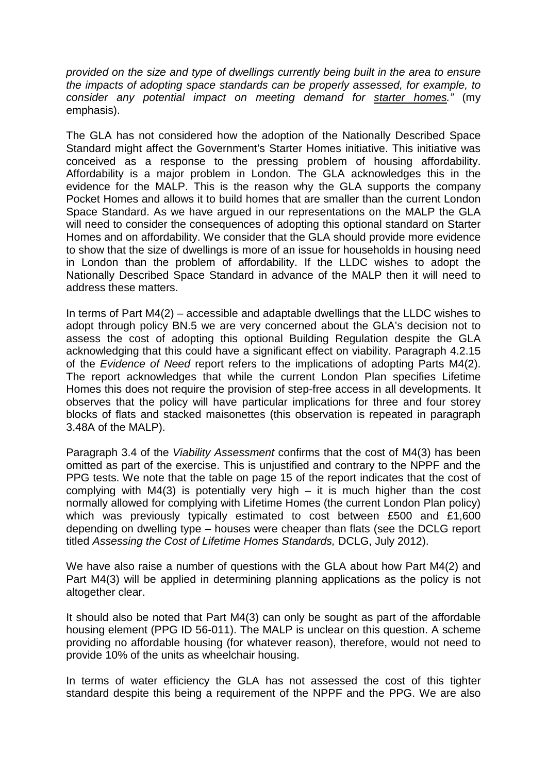*provided on the size and type of dwellings currently being built in the area to ensure the impacts of adopting space standards can be properly assessed, for example, to consider any potential impact on meeting demand for starter homes."* (my emphasis).

The GLA has not considered how the adoption of the Nationally Described Space Standard might affect the Government's Starter Homes initiative. This initiative was conceived as a response to the pressing problem of housing affordability. Affordability is a major problem in London. The GLA acknowledges this in the evidence for the MALP. This is the reason why the GLA supports the company Pocket Homes and allows it to build homes that are smaller than the current London Space Standard. As we have argued in our representations on the MALP the GLA will need to consider the consequences of adopting this optional standard on Starter Homes and on affordability. We consider that the GLA should provide more evidence to show that the size of dwellings is more of an issue for households in housing need in London than the problem of affordability. If the LLDC wishes to adopt the Nationally Described Space Standard in advance of the MALP then it will need to address these matters.

In terms of Part M4(2) – accessible and adaptable dwellings that the LLDC wishes to adopt through policy BN.5 we are very concerned about the GLA's decision not to assess the cost of adopting this optional Building Regulation despite the GLA acknowledging that this could have a significant effect on viability. Paragraph 4.2.15 of the *Evidence of Need* report refers to the implications of adopting Parts M4(2). The report acknowledges that while the current London Plan specifies Lifetime Homes this does not require the provision of step-free access in all developments. It observes that the policy will have particular implications for three and four storey blocks of flats and stacked maisonettes (this observation is repeated in paragraph 3.48A of the MALP).

Paragraph 3.4 of the *Viability Assessment* confirms that the cost of M4(3) has been omitted as part of the exercise. This is unjustified and contrary to the NPPF and the PPG tests. We note that the table on page 15 of the report indicates that the cost of complying with  $M4(3)$  is potentially very high – it is much higher than the cost normally allowed for complying with Lifetime Homes (the current London Plan policy) which was previously typically estimated to cost between £500 and £1,600 depending on dwelling type – houses were cheaper than flats (see the DCLG report titled *Assessing the Cost of Lifetime Homes Standards,* DCLG, July 2012).

We have also raise a number of questions with the GLA about how Part M4(2) and Part M4(3) will be applied in determining planning applications as the policy is not altogether clear.

It should also be noted that Part M4(3) can only be sought as part of the affordable housing element (PPG ID 56-011). The MALP is unclear on this question. A scheme providing no affordable housing (for whatever reason), therefore, would not need to provide 10% of the units as wheelchair housing.

In terms of water efficiency the GLA has not assessed the cost of this tighter standard despite this being a requirement of the NPPF and the PPG. We are also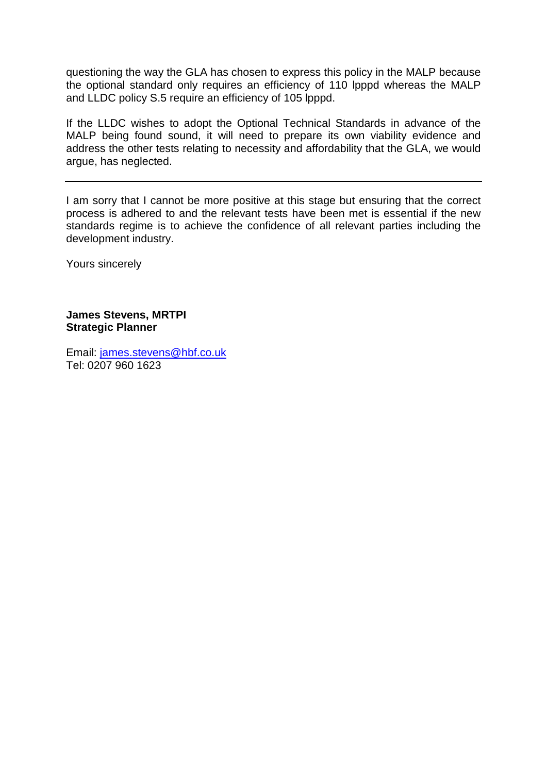questioning the way the GLA has chosen to express this policy in the MALP because the optional standard only requires an efficiency of 110 lpppd whereas the MALP and LLDC policy S.5 require an efficiency of 105 lpppd.

If the LLDC wishes to adopt the Optional Technical Standards in advance of the MALP being found sound, it will need to prepare its own viability evidence and address the other tests relating to necessity and affordability that the GLA, we would argue, has neglected.

I am sorry that I cannot be more positive at this stage but ensuring that the correct process is adhered to and the relevant tests have been met is essential if the new standards regime is to achieve the confidence of all relevant parties including the development industry.

Yours sincerely

**James Stevens, MRTPI Strategic Planner** 

Email: [james.stevens@hbf.co.uk](mailto:james.stevens@hbf.co.uk) Tel: 0207 960 1623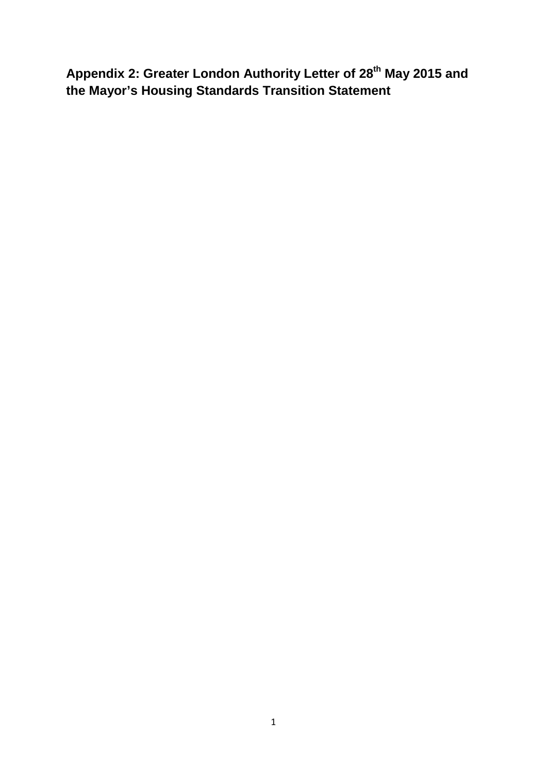Appendix 2: Greater London Authority Letter of 28<sup>th</sup> May 2015 and **the Mayor's Housing Standards Transition Statement**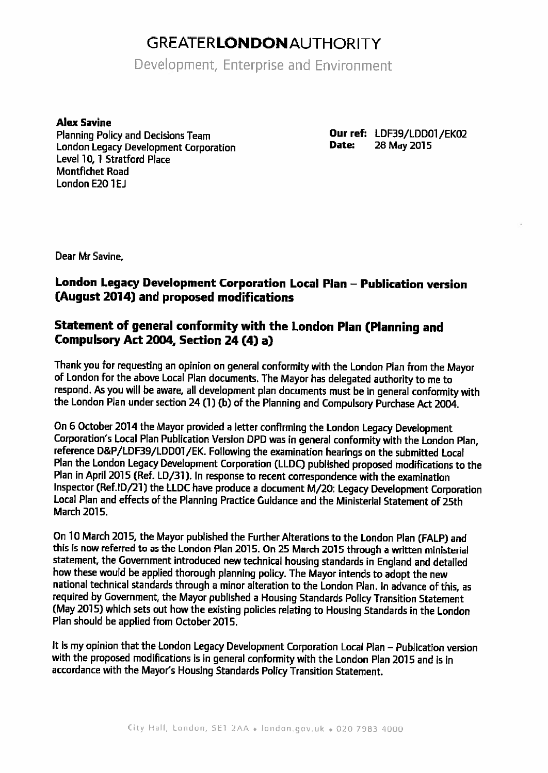# **GREATERLONDONAUTHORITY**

Development, Enterprise and Environment

**Alex Savine** 

**Planning Policy and Decisions Team** London Legacy Development Corporation Level 10. 1 Stratford Place **Montfichet Road** London E20 1EJ

Our ref: LDF39/LDD01/EK02 Date: 28 May 2015

Dear Mr Savine.

### London Legacy Development Corporation Local Plan - Publication version (August 2014) and proposed modifications

### Statement of general conformity with the London Plan (Planning and Compulsory Act 2004. Section 24 (4) a)

Thank you for requesting an opinion on general conformity with the London Plan from the Mayor of London for the above Local Plan documents. The Mayor has delegated authority to me to respond. As you will be aware, all development plan documents must be in general conformity with the London Plan under section 24 (1) (b) of the Planning and Compulsory Purchase Act 2004.

On 6 October 2014 the Mayor provided a letter confirming the London Legacy Development Corporation's Local Plan Publication Version DPD was in general conformity with the London Plan, reference D&P/LDF39/LDD01/EK. Following the examination hearings on the submitted Local Plan the London Legacy Development Corporation (LLDC) published proposed modifications to the Plan in April 2015 (Ref. LD/31). In response to recent correspondence with the examination Inspector (Ref.ID/21) the LLDC have produce a document M/20; Legacy Development Corporation Local Plan and effects of the Planning Practice Guidance and the Ministerial Statement of 25th March 2015.

On 10 March 2015, the Mayor published the Further Alterations to the London Plan (FALP) and this is now referred to as the London Plan 2015. On 25 March 2015 through a written ministerial statement, the Government introduced new technical housing standards in England and detailed how these would be applied thorough planning policy. The Mayor intends to adopt the new national technical standards through a minor alteration to the London Plan. In advance of this, as required by Government, the Mayor published a Housing Standards Policy Transition Statement (May 2015) which sets out how the existing policies relating to Housing Standards in the London Plan should be applied from October 2015.

It is my opinion that the London Legacy Development Corporation Local Plan - Publication version with the proposed modifications is in general conformity with the London Plan 2015 and is in accordance with the Mayor's Housing Standards Policy Transition Statement.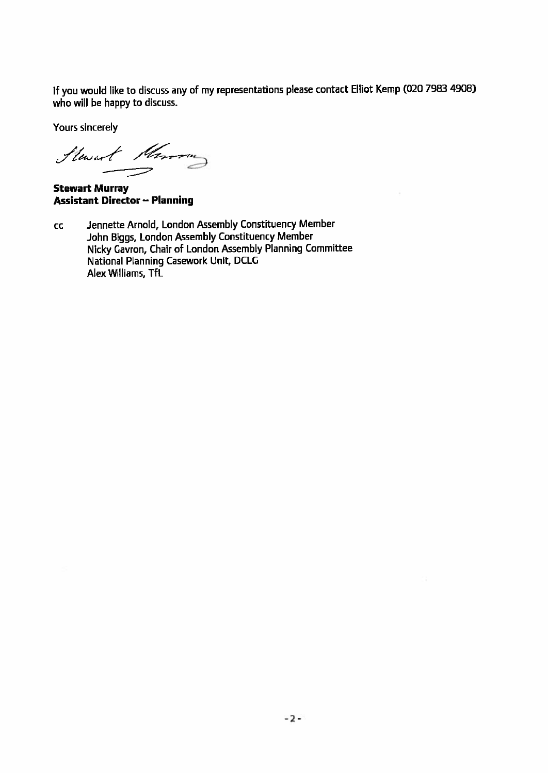If you would like to discuss any of my representations please contact Elliot Kemp (020 7983 4908) who will be happy to discuss.

Yours sincerely

Stewart Morrow

**Stewart Murray Assistant Director - Planning** 

Jennette Arnold, London Assembly Constituency Member  $cc$ John Biggs, London Assembly Constituency Member Nicky Gavron, Chair of London Assembly Planning Committee National Planning Casework Unit, DCLG Alex Williams, TfL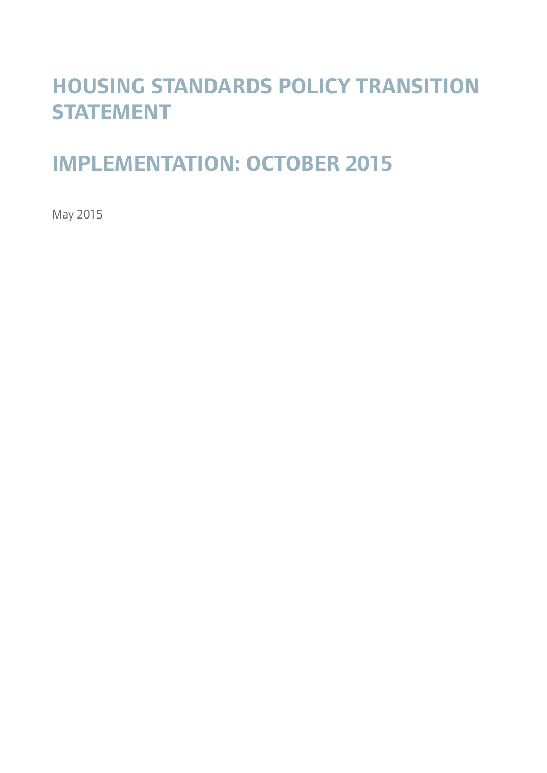# **HOUSING STANDARDS POLICY TRANSITION STATEMENT**

# **IMPLEMENTATION: OCTOBER 2015**

May 2015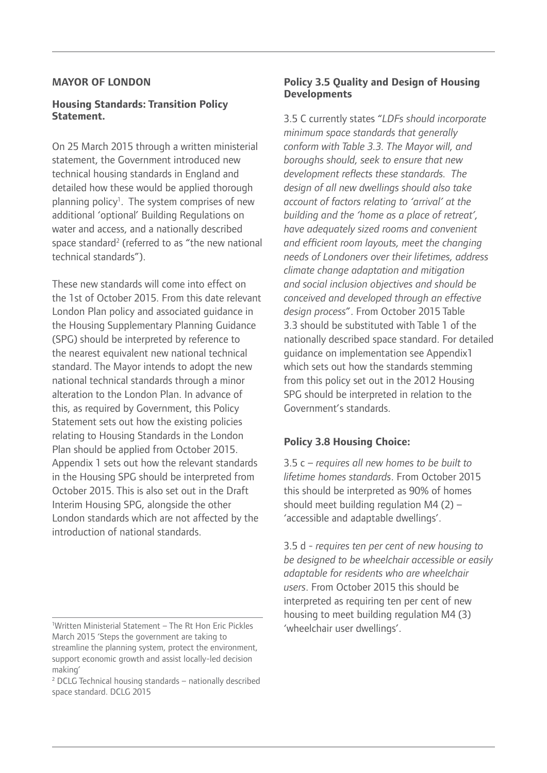### **MAYOR OF LONDON**

#### **Housing Standards: Transition Policy Statement.**

On 25 March 2015 through a written ministerial statement, the Government introduced new technical housing standards in England and detailed how these would be applied thorough planning policy<sup>1</sup>. The system comprises of new additional 'optional' Building Regulations on water and access, and a nationally described space standard<sup>2</sup> (referred to as "the new national technical standards").

These new standards will come into effect on the 1st of October 2015. From this date relevant London Plan policy and associated guidance in the Housing Supplementary Planning Guidance (SPG) should be interpreted by reference to the nearest equivalent new national technical standard. The Mayor intends to adopt the new national technical standards through a minor alteration to the London Plan. In advance of this, as required by Government, this Policy Statement sets out how the existing policies relating to Housing Standards in the London Plan should be applied from October 2015. Appendix 1 sets out how the relevant standards in the Housing SPG should be interpreted from October 2015. This is also set out in the Draft Interim Housing SPG, alongside the other London standards which are not affected by the introduction of national standards.

### **Policy 3.5 Quality and Design of Housing Developments**

3.5 C currently states "*LDFs should incorporate minimum space standards that generally conform with Table 3.3. The Mayor will, and boroughs should, seek to ensure that new development reflects these standards. The design of all new dwellings should also take account of factors relating to 'arrival' at the building and the 'home as a place of retreat', have adequately sized rooms and convenient and efficient room layouts, meet the changing needs of Londoners over their lifetimes, address climate change adaptation and mitigation and social inclusion objectives and should be conceived and developed through an effective design process*". From October 2015 Table 3.3 should be substituted with Table 1 of the nationally described space standard. For detailed guidance on implementation see Appendix1 which sets out how the standards stemming from this policy set out in the 2012 Housing SPG should be interpreted in relation to the Government's standards.

### **Policy 3.8 Housing Choice:**

3.5 c – *requires all new homes to be built to lifetime homes standards*. From October 2015 this should be interpreted as 90% of homes should meet building regulation M4 (2) – 'accessible and adaptable dwellings'.

3.5 d - *requires ten per cent of new housing to be designed to be wheelchair accessible or easily adaptable for residents who are wheelchair users*. From October 2015 this should be interpreted as requiring ten per cent of new housing to meet building regulation M4 (3) 'wheelchair user dwellings'.

<sup>1</sup> Written Ministerial Statement – The Rt Hon Eric Pickles March 2015 'Steps the government are taking to streamline the planning system, protect the environment, support economic growth and assist locally-led decision making'

<sup>2</sup> DCLG Technical housing standards – nationally described space standard. DCLG 2015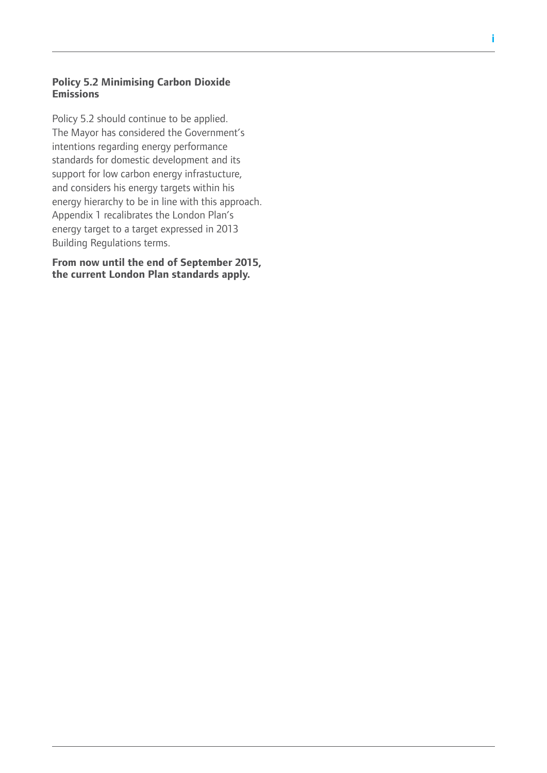### **Policy 5.2 Minimising Carbon Dioxide Emissions**

Policy 5.2 should continue to be applied. The Mayor has considered the Government's intentions regarding energy performance standards for domestic development and its support for low carbon energy infrastucture, and considers his energy targets within his energy hierarchy to be in line with this approach. Appendix 1 recalibrates the London Plan's energy target to a target expressed in 2013 Building Regulations terms.

**From now until the end of September 2015, the current London Plan standards apply.**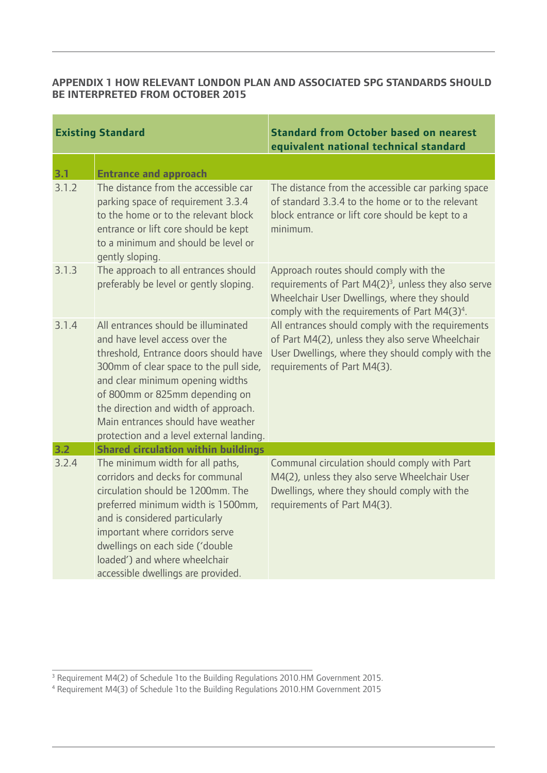### **APPENDIX 1 HOW RELEVANT LONDON PLAN AND ASSOCIATED SPG STANDARDS SHOULD BE INTERPRETED FROM OCTOBER 2015**

|       | <b>Existing Standard</b>                                                                                                                                                                                                                                                                                                                                 | <b>Standard from October based on nearest</b><br>equivalent national technical standard                                                                                                                                 |
|-------|----------------------------------------------------------------------------------------------------------------------------------------------------------------------------------------------------------------------------------------------------------------------------------------------------------------------------------------------------------|-------------------------------------------------------------------------------------------------------------------------------------------------------------------------------------------------------------------------|
| 3.1   | <b>Entrance and approach</b>                                                                                                                                                                                                                                                                                                                             |                                                                                                                                                                                                                         |
| 3.1.2 | The distance from the accessible car<br>parking space of requirement 3.3.4<br>to the home or to the relevant block<br>entrance or lift core should be kept<br>to a minimum and should be level or<br>gently sloping.                                                                                                                                     | The distance from the accessible car parking space<br>of standard 3.3.4 to the home or to the relevant<br>block entrance or lift core should be kept to a<br>minimum.                                                   |
| 3.1.3 | The approach to all entrances should<br>preferably be level or gently sloping.                                                                                                                                                                                                                                                                           | Approach routes should comply with the<br>requirements of Part M4(2) <sup>3</sup> , unless they also serve<br>Wheelchair User Dwellings, where they should<br>comply with the requirements of Part M4(3) <sup>4</sup> . |
| 3.1.4 | All entrances should be illuminated<br>and have level access over the<br>threshold, Entrance doors should have<br>300mm of clear space to the pull side,<br>and clear minimum opening widths<br>of 800mm or 825mm depending on<br>the direction and width of approach.<br>Main entrances should have weather<br>protection and a level external landing. | All entrances should comply with the requirements<br>of Part M4(2), unless they also serve Wheelchair<br>User Dwellings, where they should comply with the<br>requirements of Part M4(3).                               |
| 3.2   | <b>Shared circulation within buildings</b>                                                                                                                                                                                                                                                                                                               |                                                                                                                                                                                                                         |
| 3.2.4 | The minimum width for all paths,<br>corridors and decks for communal<br>circulation should be 1200mm. The<br>preferred minimum width is 1500mm,<br>and is considered particularly<br>important where corridors serve<br>dwellings on each side ('double<br>loaded') and where wheelchair<br>accessible dwellings are provided.                           | Communal circulation should comply with Part<br>M4(2), unless they also serve Wheelchair User<br>Dwellings, where they should comply with the<br>requirements of Part M4(3).                                            |

<sup>3</sup> Requirement M4(2) of Schedule 1to the Building Regulations 2010.HM Government 2015.<br><sup>4</sup> Requirement M4(3) of Schedule 1to the Building Regulations 2010.HM Government 2015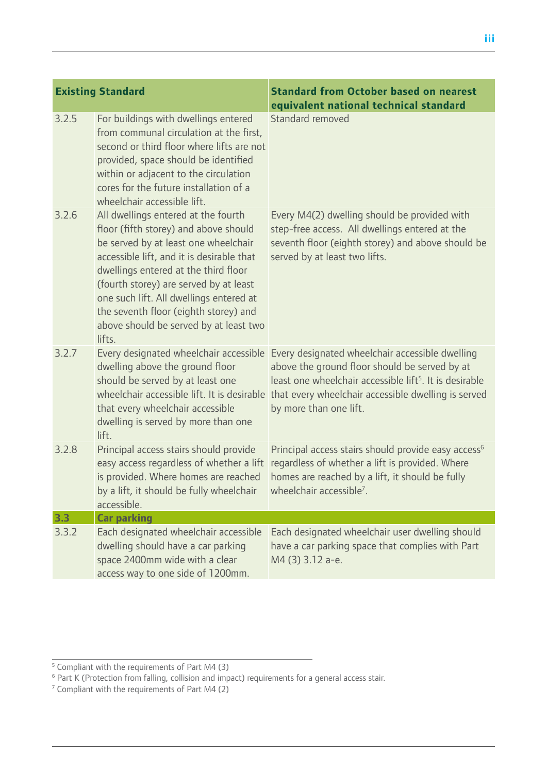|       | <b>Existing Standard</b>                                                                                                                                                                                                                                                                                                                                                                    | <b>Standard from October based on nearest</b><br>equivalent national technical standard                                                                                                                                                                                                              |
|-------|---------------------------------------------------------------------------------------------------------------------------------------------------------------------------------------------------------------------------------------------------------------------------------------------------------------------------------------------------------------------------------------------|------------------------------------------------------------------------------------------------------------------------------------------------------------------------------------------------------------------------------------------------------------------------------------------------------|
| 3.2.5 | For buildings with dwellings entered<br>from communal circulation at the first,<br>second or third floor where lifts are not<br>provided, space should be identified<br>within or adjacent to the circulation<br>cores for the future installation of a<br>wheelchair accessible lift.                                                                                                      | Standard removed                                                                                                                                                                                                                                                                                     |
| 3.2.6 | All dwellings entered at the fourth<br>floor (fifth storey) and above should<br>be served by at least one wheelchair<br>accessible lift, and it is desirable that<br>dwellings entered at the third floor<br>(fourth storey) are served by at least<br>one such lift. All dwellings entered at<br>the seventh floor (eighth storey) and<br>above should be served by at least two<br>lifts. | Every M4(2) dwelling should be provided with<br>step-free access. All dwellings entered at the<br>seventh floor (eighth storey) and above should be<br>served by at least two lifts.                                                                                                                 |
| 3.2.7 | Every designated wheelchair accessible<br>dwelling above the ground floor<br>should be served by at least one<br>that every wheelchair accessible<br>dwelling is served by more than one<br>lift.                                                                                                                                                                                           | Every designated wheelchair accessible dwelling<br>above the ground floor should be served by at<br>least one wheelchair accessible lift <sup>5</sup> . It is desirable<br>wheelchair accessible lift. It is desirable that every wheelchair accessible dwelling is served<br>by more than one lift. |
| 3.2.8 | Principal access stairs should provide<br>easy access regardless of whether a lift<br>is provided. Where homes are reached<br>by a lift, it should be fully wheelchair<br>accessible.                                                                                                                                                                                                       | Principal access stairs should provide easy access <sup>6</sup><br>regardless of whether a lift is provided. Where<br>homes are reached by a lift, it should be fully<br>wheelchair accessible <sup>7</sup> .                                                                                        |
| 3.3   | <b>Car parking</b>                                                                                                                                                                                                                                                                                                                                                                          |                                                                                                                                                                                                                                                                                                      |
| 3.3.2 | Each designated wheelchair accessible<br>dwelling should have a car parking<br>space 2400mm wide with a clear<br>access way to one side of 1200mm.                                                                                                                                                                                                                                          | Each designated wheelchair user dwelling should<br>have a car parking space that complies with Part<br>M4 (3) 3.12 a-e.                                                                                                                                                                              |
|       |                                                                                                                                                                                                                                                                                                                                                                                             |                                                                                                                                                                                                                                                                                                      |

<sup>&</sup>lt;sup>5</sup> Compliant with the requirements of Part M4 (3)<br><sup>6</sup> Part K (Protection from falling, collision and impact) requirements for a general access stair.<br><sup>7</sup> Compliant with the requirements of Part M4 (2)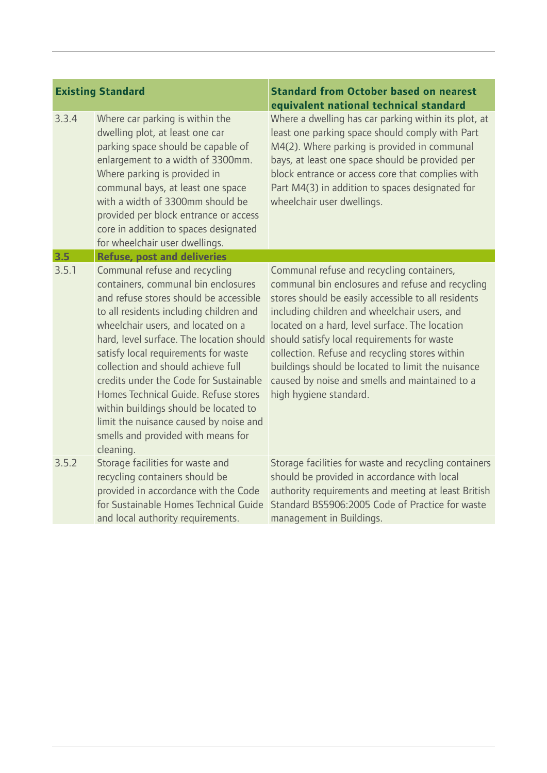| 3.3.4 | Where car parking is within the<br>dwelling plot, at least one car<br>parking space should be capable of<br>enlargement to a width of 3300mm.<br>Where parking is provided in<br>communal bays, at least one space<br>with a width of 3300mm should be<br>provided per block entrance or access<br>core in addition to spaces designated<br>for wheelchair user dwellings.                                                                                                                                                                        | Where a dwelling has car parking within its plot, at<br>least one parking space should comply with Part<br>M4(2). Where parking is provided in communal<br>bays, at least one space should be provided per<br>block entrance or access core that complies with<br>Part M4(3) in addition to spaces designated for<br>wheelchair user dwellings.                                                                                                                                          |
|-------|---------------------------------------------------------------------------------------------------------------------------------------------------------------------------------------------------------------------------------------------------------------------------------------------------------------------------------------------------------------------------------------------------------------------------------------------------------------------------------------------------------------------------------------------------|------------------------------------------------------------------------------------------------------------------------------------------------------------------------------------------------------------------------------------------------------------------------------------------------------------------------------------------------------------------------------------------------------------------------------------------------------------------------------------------|
| 3.5   | <b>Refuse, post and deliveries</b>                                                                                                                                                                                                                                                                                                                                                                                                                                                                                                                |                                                                                                                                                                                                                                                                                                                                                                                                                                                                                          |
| 3.5.1 | Communal refuse and recycling<br>containers, communal bin enclosures<br>and refuse stores should be accessible<br>to all residents including children and<br>wheelchair users, and located on a<br>hard, level surface. The location should<br>satisfy local requirements for waste<br>collection and should achieve full<br>credits under the Code for Sustainable<br>Homes Technical Guide. Refuse stores<br>within buildings should be located to<br>limit the nuisance caused by noise and<br>smells and provided with means for<br>cleaning. | Communal refuse and recycling containers,<br>communal bin enclosures and refuse and recycling<br>stores should be easily accessible to all residents<br>including children and wheelchair users, and<br>located on a hard, level surface. The location<br>should satisfy local requirements for waste<br>collection. Refuse and recycling stores within<br>buildings should be located to limit the nuisance<br>caused by noise and smells and maintained to a<br>high hygiene standard. |
| 3.5.2 | Storage facilities for waste and<br>recycling containers should be<br>provided in accordance with the Code<br>for Sustainable Homes Technical Guide<br>and local authority requirements.                                                                                                                                                                                                                                                                                                                                                          | Storage facilities for waste and recycling containers<br>should be provided in accordance with local<br>authority requirements and meeting at least British<br>Standard BS5906:2005 Code of Practice for waste<br>management in Buildings.                                                                                                                                                                                                                                               |
|       |                                                                                                                                                                                                                                                                                                                                                                                                                                                                                                                                                   |                                                                                                                                                                                                                                                                                                                                                                                                                                                                                          |

## **Existing Standard Standard from October based on nearest equivalent national technical standard**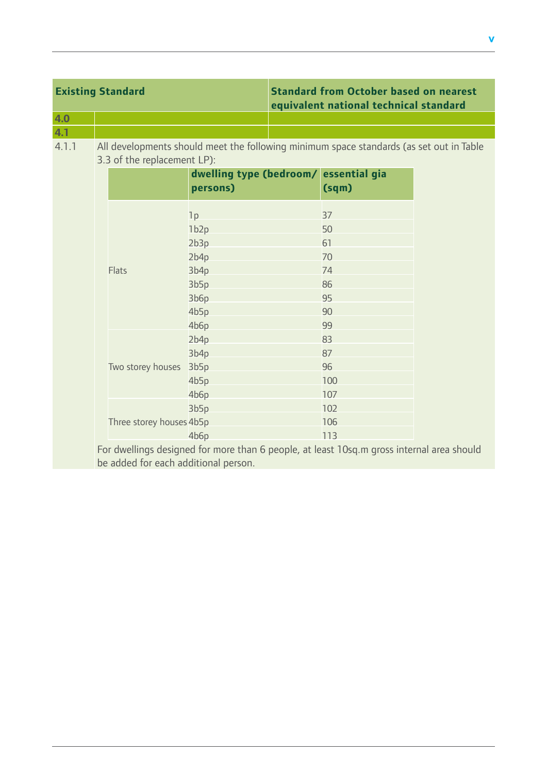|                                                                                                                                   | <b>Existing Standard</b> |                             | <b>Standard from October based on nearest</b><br>equivalent national technical standard |  |                                                                                         |  |
|-----------------------------------------------------------------------------------------------------------------------------------|--------------------------|-----------------------------|-----------------------------------------------------------------------------------------|--|-----------------------------------------------------------------------------------------|--|
| 4.0                                                                                                                               |                          |                             |                                                                                         |  |                                                                                         |  |
| 4.1                                                                                                                               |                          |                             |                                                                                         |  |                                                                                         |  |
| 4.1.1                                                                                                                             |                          | 3.3 of the replacement LP): |                                                                                         |  | All developments should meet the following minimum space standards (as set out in Table |  |
|                                                                                                                                   |                          |                             | dwelling type (bedroom/<br>persons)                                                     |  | essential gia<br>(sqm)                                                                  |  |
|                                                                                                                                   |                          |                             | 1p                                                                                      |  | 37                                                                                      |  |
|                                                                                                                                   |                          |                             | 1b <sub>2p</sub><br>2b3p                                                                |  | 50<br>61                                                                                |  |
|                                                                                                                                   |                          | Flats                       | 2b4p                                                                                    |  | 70                                                                                      |  |
|                                                                                                                                   |                          |                             | 3b4p                                                                                    |  | 74                                                                                      |  |
|                                                                                                                                   |                          |                             | 3b5p                                                                                    |  | 86                                                                                      |  |
|                                                                                                                                   |                          |                             | 3b6p                                                                                    |  | 95                                                                                      |  |
|                                                                                                                                   |                          |                             | 4b5p                                                                                    |  | 90                                                                                      |  |
|                                                                                                                                   |                          |                             | 4b6p                                                                                    |  | 99                                                                                      |  |
|                                                                                                                                   |                          |                             | 2b4p                                                                                    |  | 83                                                                                      |  |
|                                                                                                                                   |                          |                             | 3b4p                                                                                    |  | 87                                                                                      |  |
|                                                                                                                                   |                          | Two storey houses           | 3b5p                                                                                    |  | 96                                                                                      |  |
|                                                                                                                                   |                          |                             | 4b5p                                                                                    |  | 100                                                                                     |  |
|                                                                                                                                   |                          |                             | 4b6p                                                                                    |  | 107                                                                                     |  |
|                                                                                                                                   |                          |                             | 3b5p                                                                                    |  | 102                                                                                     |  |
|                                                                                                                                   |                          | Three storey houses 4b5p    |                                                                                         |  | 106                                                                                     |  |
|                                                                                                                                   |                          |                             | 4b6p                                                                                    |  | 113                                                                                     |  |
| For dwellings designed for more than 6 people, at least 10sq.m gross internal area should<br>be added for each additional person. |                          |                             |                                                                                         |  |                                                                                         |  |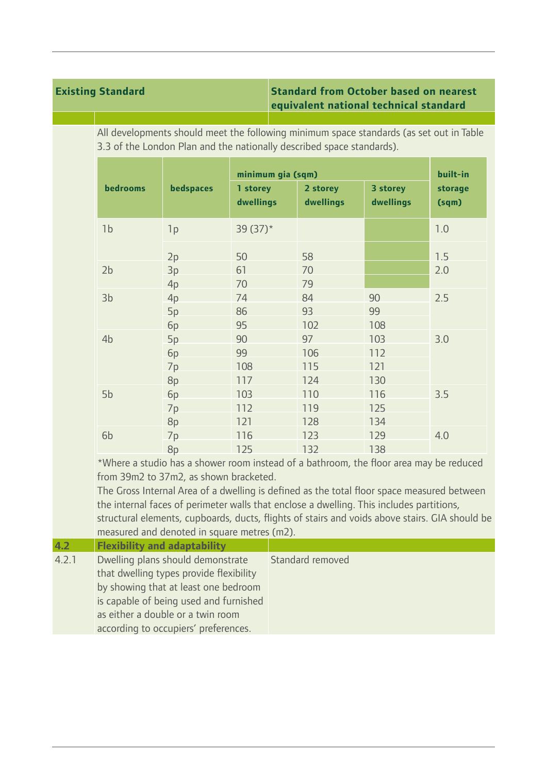### **Existing Standard Standard from October based on nearest equivalent national technical standard**

All developments should meet the following minimum space standards (as set out in Table 3.3 of the London Plan and the nationally described space standards).

|                |           | minimum gia (sqm)     |                       |                       | built-in         |  |
|----------------|-----------|-----------------------|-----------------------|-----------------------|------------------|--|
| bedrooms       | bedspaces | 1 storey<br>dwellings | 2 storey<br>dwellings | 3 storey<br>dwellings | storage<br>(sqm) |  |
| 1 <sub>b</sub> | 1p        | 39 $(37)^*$           |                       |                       | 1.0              |  |
|                | 2p        | 50                    | 58                    |                       | 1.5              |  |
| 2 <sub>b</sub> | 3p        | 61                    | 70                    |                       | 2.0              |  |
|                | 4p        | 70                    | 79                    |                       |                  |  |
| 3 <sub>b</sub> | 4p        | 74                    | 84                    | 90                    | 2.5              |  |
|                | 5p        | 86                    | 93                    | 99                    |                  |  |
|                | 6p        | 95                    | 102                   | 108                   |                  |  |
| 4 <sub>b</sub> | 5p        | 90                    | 97                    | 103                   | 3.0              |  |
|                | 6p        | 99                    | 106                   | 112                   |                  |  |
|                | 7p        | 108                   | 115                   | 121                   |                  |  |
|                | 8p        | 117                   | 124                   | 130                   |                  |  |
| 5b             | 6p        | 103                   | 110                   | 116                   | 3.5              |  |
|                | 7p        | 112                   | 119                   | 125                   |                  |  |
|                | 8p        | 121                   | 128                   | 134                   |                  |  |
| 6 <sub>b</sub> | 7p        | 116                   | 123                   | 129                   | 4.0              |  |
|                | 8p        | 125                   | 132                   | 138                   |                  |  |

\*Where a studio has a shower room instead of a bathroom, the floor area may be reduced from 39m2 to 37m2, as shown bracketed.

The Gross Internal Area of a dwelling is defined as the total floor space measured between the internal faces of perimeter walls that enclose a dwelling. This includes partitions, structural elements, cupboards, ducts, flights of stairs and voids above stairs. GIA should be measured and denoted in square metres (m2).

| 4.2   | <b>Flexibility and adaptability</b>     |                  |
|-------|-----------------------------------------|------------------|
| 4.2.1 | Dwelling plans should demonstrate       | Standard removed |
|       | that dwelling types provide flexibility |                  |
|       | by showing that at least one bedroom    |                  |
|       | is capable of being used and furnished  |                  |
|       | as either a double or a twin room       |                  |
|       | according to occupiers' preferences.    |                  |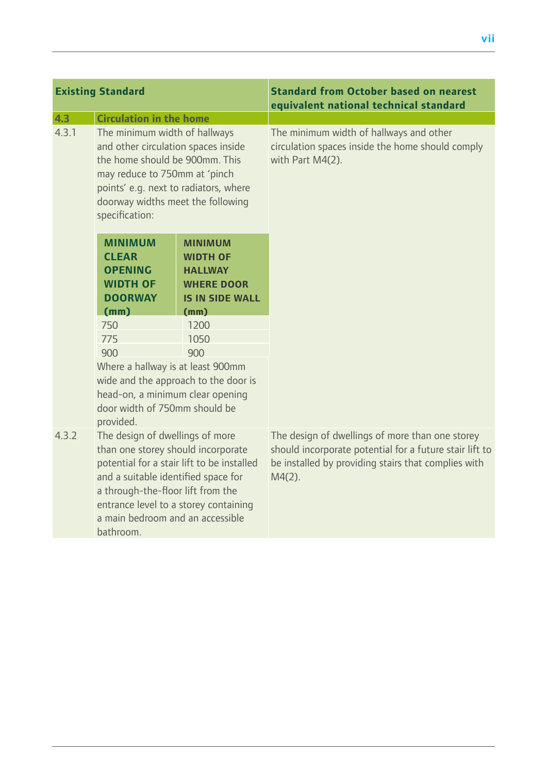# **Existing Standard Standard from October based on nearest**

|       |                                                                                                                                                                                                                                                                                           |                                                                                                    | equivalent national technical standard                                                                                                                                         |
|-------|-------------------------------------------------------------------------------------------------------------------------------------------------------------------------------------------------------------------------------------------------------------------------------------------|----------------------------------------------------------------------------------------------------|--------------------------------------------------------------------------------------------------------------------------------------------------------------------------------|
| 4.3   | <b>Circulation in the home</b>                                                                                                                                                                                                                                                            |                                                                                                    |                                                                                                                                                                                |
| 4.3.1 | The minimum width of hallways<br>and other circulation spaces inside<br>the home should be 900mm. This<br>may reduce to 750mm at 'pinch<br>points' e.g. next to radiators, where<br>doorway widths meet the following<br>specification:                                                   |                                                                                                    | The minimum width of hallways and other<br>circulation spaces inside the home should comply<br>with Part M4(2).                                                                |
|       | <b>MINIMUM</b><br><b>CLEAR</b><br><b>OPENING</b><br><b>WIDTH OF</b><br><b>DOORWAY</b>                                                                                                                                                                                                     | <b>MINIMUM</b><br><b>WIDTH OF</b><br><b>HALLWAY</b><br><b>WHERE DOOR</b><br><b>IS IN SIDE WALL</b> |                                                                                                                                                                                |
|       | (mm)                                                                                                                                                                                                                                                                                      | (mm)                                                                                               |                                                                                                                                                                                |
|       | 750                                                                                                                                                                                                                                                                                       | 1200                                                                                               |                                                                                                                                                                                |
|       | 775                                                                                                                                                                                                                                                                                       | 1050                                                                                               |                                                                                                                                                                                |
|       | 900                                                                                                                                                                                                                                                                                       | 900                                                                                                |                                                                                                                                                                                |
|       | Where a hallway is at least 900mm<br>wide and the approach to the door is<br>head-on, a minimum clear opening<br>door width of 750mm should be<br>provided.                                                                                                                               |                                                                                                    |                                                                                                                                                                                |
| 4.3.2 | The design of dwellings of more<br>than one storey should incorporate<br>potential for a stair lift to be installed<br>and a suitable identified space for<br>a through-the-floor lift from the<br>entrance level to a storey containing<br>a main bedroom and an accessible<br>bathroom. |                                                                                                    | The design of dwellings of more than one storey<br>should incorporate potential for a future stair lift to<br>be installed by providing stairs that complies with<br>$M4(2)$ . |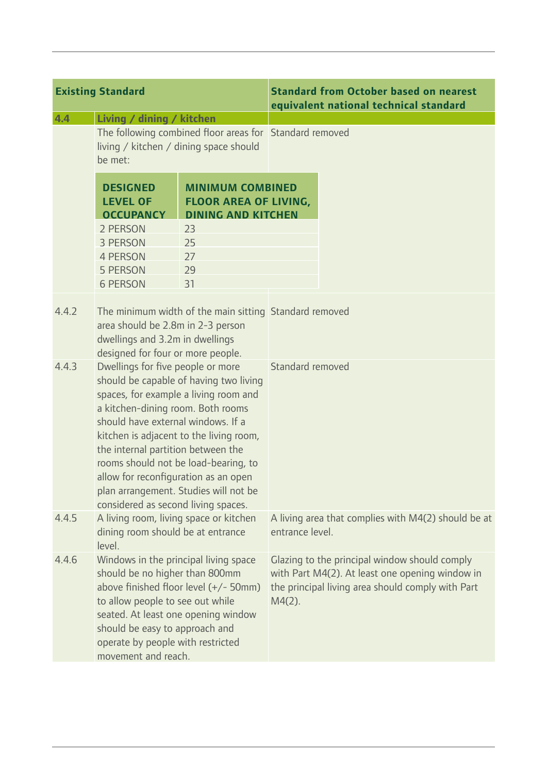| <b>Existing Standard</b> |                                                                                                                                                                                                                                                                                                                                                                                                                                                  |                                                                                      |                  | <b>Standard from October based on nearest</b><br>equivalent national technical standard                                                               |
|--------------------------|--------------------------------------------------------------------------------------------------------------------------------------------------------------------------------------------------------------------------------------------------------------------------------------------------------------------------------------------------------------------------------------------------------------------------------------------------|--------------------------------------------------------------------------------------|------------------|-------------------------------------------------------------------------------------------------------------------------------------------------------|
| 4.4                      | Living / dining / kitchen<br>The following combined floor areas for Standard removed<br>living / kitchen / dining space should<br>be met:                                                                                                                                                                                                                                                                                                        |                                                                                      |                  |                                                                                                                                                       |
|                          | <b>DESIGNED</b><br><b>LEVEL OF</b><br><b>OCCUPANCY</b>                                                                                                                                                                                                                                                                                                                                                                                           | <b>MINIMUM COMBINED</b><br><b>FLOOR AREA OF LIVING,</b><br><b>DINING AND KITCHEN</b> |                  |                                                                                                                                                       |
|                          | 2 PERSON<br>3 PERSON<br><b>4 PERSON</b><br>5 PERSON<br><b>6 PERSON</b>                                                                                                                                                                                                                                                                                                                                                                           | 23<br>25<br>27<br>29<br>31                                                           |                  |                                                                                                                                                       |
| 4.4.2                    | The minimum width of the main sitting Standard removed<br>area should be 2.8m in 2-3 person<br>dwellings and 3.2m in dwellings<br>designed for four or more people.                                                                                                                                                                                                                                                                              |                                                                                      |                  |                                                                                                                                                       |
| 4.4.3                    | Dwellings for five people or more<br>should be capable of having two living<br>spaces, for example a living room and<br>a kitchen-dining room. Both rooms<br>should have external windows. If a<br>kitchen is adjacent to the living room,<br>the internal partition between the<br>rooms should not be load-bearing, to<br>allow for reconfiguration as an open<br>plan arrangement. Studies will not be<br>considered as second living spaces. |                                                                                      | Standard removed |                                                                                                                                                       |
| 4.4.5                    | A living room, living space or kitchen<br>dining room should be at entrance<br>level.                                                                                                                                                                                                                                                                                                                                                            |                                                                                      | entrance level.  | A living area that complies with M4(2) should be at                                                                                                   |
| 4.4.6                    | Windows in the principal living space<br>should be no higher than 800mm<br>above finished floor level (+/- 50mm)<br>to allow people to see out while<br>seated. At least one opening window<br>should be easy to approach and<br>operate by people with restricted<br>movement and reach.                                                                                                                                                        |                                                                                      | $M4(2)$ .        | Glazing to the principal window should comply<br>with Part M4(2). At least one opening window in<br>the principal living area should comply with Part |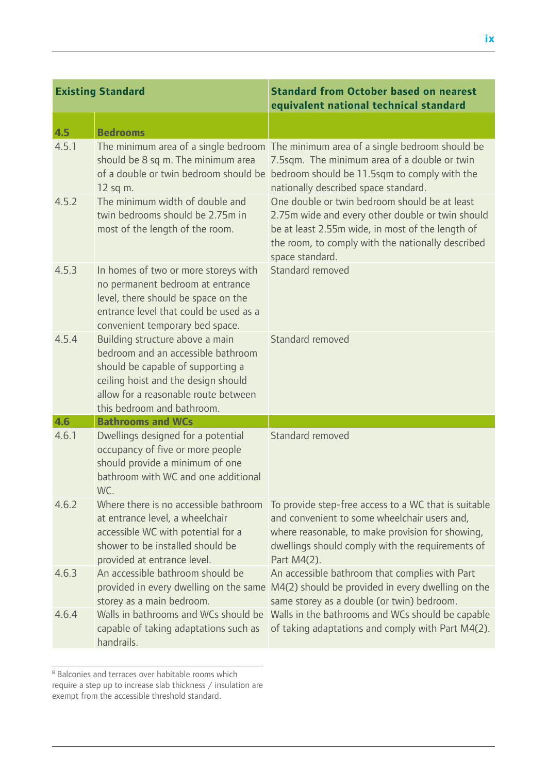|       | <b>Existing Standard</b>                                                                                                                                                                                                | <b>Standard from October based on nearest</b><br>equivalent national technical standard                                                                                                                                       |
|-------|-------------------------------------------------------------------------------------------------------------------------------------------------------------------------------------------------------------------------|-------------------------------------------------------------------------------------------------------------------------------------------------------------------------------------------------------------------------------|
| 4.5   | <b>Bedrooms</b>                                                                                                                                                                                                         |                                                                                                                                                                                                                               |
| 4.5.1 | should be 8 sq m. The minimum area<br>of a double or twin bedroom should be<br>12 sq m.                                                                                                                                 | The minimum area of a single bedroom The minimum area of a single bedroom should be<br>7.5sqm. The minimum area of a double or twin<br>bedroom should be 11.5sqm to comply with the<br>nationally described space standard.   |
| 4.5.2 | The minimum width of double and<br>twin bedrooms should be 2.75m in<br>most of the length of the room.                                                                                                                  | One double or twin bedroom should be at least<br>2.75m wide and every other double or twin should<br>be at least 2.55m wide, in most of the length of<br>the room, to comply with the nationally described<br>space standard. |
| 4.5.3 | In homes of two or more storeys with<br>no permanent bedroom at entrance<br>level, there should be space on the<br>entrance level that could be used as a<br>convenient temporary bed space.                            | Standard removed                                                                                                                                                                                                              |
| 4.5.4 | Building structure above a main<br>bedroom and an accessible bathroom<br>should be capable of supporting a<br>ceiling hoist and the design should<br>allow for a reasonable route between<br>this bedroom and bathroom. | Standard removed                                                                                                                                                                                                              |
| 4.6   | <b>Bathrooms and WCs</b>                                                                                                                                                                                                |                                                                                                                                                                                                                               |
| 4.6.1 | Dwellings designed for a potential<br>occupancy of five or more people<br>should provide a minimum of one<br>bathroom with WC and one additional<br>WC.                                                                 | Standard removed                                                                                                                                                                                                              |
| 4.6.2 | Where there is no accessible bathroom<br>at entrance level, a wheelchair<br>accessible WC with potential for a<br>shower to be installed should be<br>provided at entrance level.                                       | To provide step-free access to a WC that is suitable<br>and convenient to some wheelchair users and,<br>where reasonable, to make provision for showing,<br>dwellings should comply with the requirements of<br>Part M4(2).   |
| 4.6.3 | An accessible bathroom should be<br>storey as a main bedroom.                                                                                                                                                           | An accessible bathroom that complies with Part<br>provided in every dwelling on the same M4(2) should be provided in every dwelling on the<br>same storey as a double (or twin) bedroom.                                      |
| 4.6.4 | Walls in bathrooms and WCs should be<br>capable of taking adaptations such as<br>handrails.                                                                                                                             | Walls in the bathrooms and WCs should be capable<br>of taking adaptations and comply with Part M4(2).                                                                                                                         |

<sup>&</sup>lt;sup>8</sup> Balconies and terraces over habitable rooms which require a step up to increase slab thickness / insulation are exempt from the accessible threshold standard.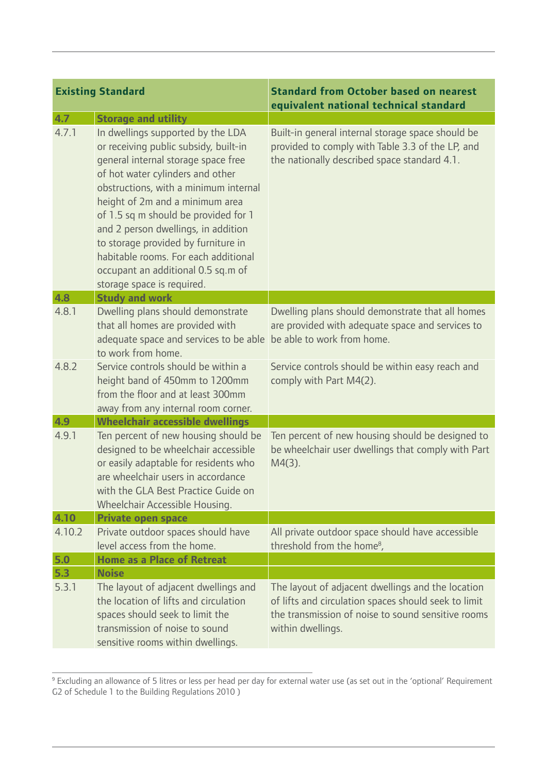| <b>Existing Standard</b> |                                                                                                                                                                                                                                                                                                                                                                                                                                                                     | <b>Standard from October based on nearest</b><br>equivalent national technical standard                                                                                              |  |
|--------------------------|---------------------------------------------------------------------------------------------------------------------------------------------------------------------------------------------------------------------------------------------------------------------------------------------------------------------------------------------------------------------------------------------------------------------------------------------------------------------|--------------------------------------------------------------------------------------------------------------------------------------------------------------------------------------|--|
| 4.7                      | <b>Storage and utility</b>                                                                                                                                                                                                                                                                                                                                                                                                                                          |                                                                                                                                                                                      |  |
| 4.7.1                    | In dwellings supported by the LDA<br>or receiving public subsidy, built-in<br>general internal storage space free<br>of hot water cylinders and other<br>obstructions, with a minimum internal<br>height of 2m and a minimum area<br>of 1.5 sq m should be provided for 1<br>and 2 person dwellings, in addition<br>to storage provided by furniture in<br>habitable rooms. For each additional<br>occupant an additional 0.5 sq.m of<br>storage space is required. | Built-in general internal storage space should be<br>provided to comply with Table 3.3 of the LP, and<br>the nationally described space standard 4.1.                                |  |
| 4.8                      | <b>Study and work</b>                                                                                                                                                                                                                                                                                                                                                                                                                                               |                                                                                                                                                                                      |  |
| 4.8.1                    | Dwelling plans should demonstrate<br>that all homes are provided with<br>adequate space and services to be able<br>to work from home.                                                                                                                                                                                                                                                                                                                               | Dwelling plans should demonstrate that all homes<br>are provided with adequate space and services to<br>be able to work from home.                                                   |  |
| 4.8.2                    | Service controls should be within a<br>height band of 450mm to 1200mm<br>from the floor and at least 300mm<br>away from any internal room corner.                                                                                                                                                                                                                                                                                                                   | Service controls should be within easy reach and<br>comply with Part M4(2).                                                                                                          |  |
| 4.9                      | <b>Wheelchair accessible dwellings</b>                                                                                                                                                                                                                                                                                                                                                                                                                              |                                                                                                                                                                                      |  |
| 4.9.1                    | Ten percent of new housing should be<br>designed to be wheelchair accessible<br>or easily adaptable for residents who<br>are wheelchair users in accordance<br>with the GLA Best Practice Guide on<br>Wheelchair Accessible Housing.                                                                                                                                                                                                                                | Ten percent of new housing should be designed to<br>be wheelchair user dwellings that comply with Part<br>$M4(3)$ .                                                                  |  |
| 4.10                     | <b>Private open space</b>                                                                                                                                                                                                                                                                                                                                                                                                                                           |                                                                                                                                                                                      |  |
| 4.10.2                   | Private outdoor spaces should have<br>level access from the home.                                                                                                                                                                                                                                                                                                                                                                                                   | All private outdoor space should have accessible<br>threshold from the home <sup>8</sup> ,                                                                                           |  |
| 5.0                      | <b>Home as a Place of Retreat</b>                                                                                                                                                                                                                                                                                                                                                                                                                                   |                                                                                                                                                                                      |  |
| 5.3<br>5.3.1             | <b>Noise</b><br>The layout of adjacent dwellings and<br>the location of lifts and circulation<br>spaces should seek to limit the<br>transmission of noise to sound<br>sensitive rooms within dwellings.                                                                                                                                                                                                                                                             | The layout of adjacent dwellings and the location<br>of lifts and circulation spaces should seek to limit<br>the transmission of noise to sound sensitive rooms<br>within dwellings. |  |

<sup>9</sup> Excluding an allowance of 5 litres or less per head per day for external water use (as set out in the 'optional' Requirement G2 of Schedule 1 to the Building Regulations 2010 )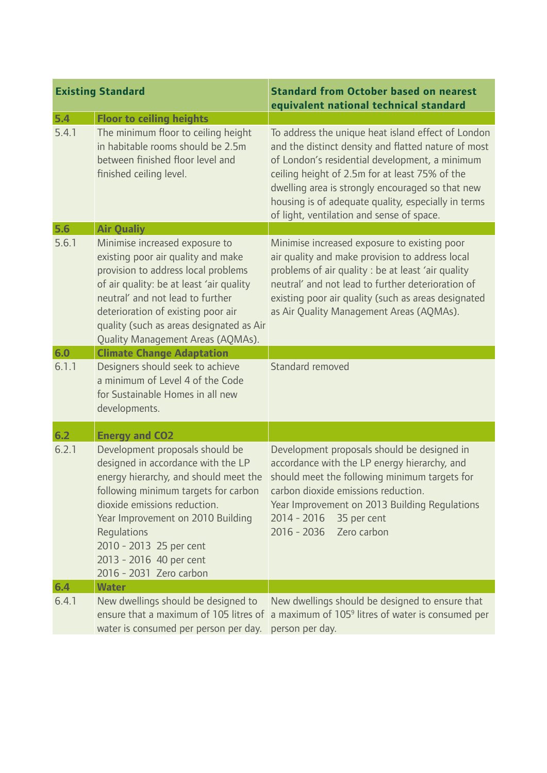|       | <b>Existing Standard</b>                                                                                                                                                                                                                                                                                                    | <b>Standard from October based on nearest</b><br>equivalent national technical standard                                                                                                                                                                                                                                                                               |
|-------|-----------------------------------------------------------------------------------------------------------------------------------------------------------------------------------------------------------------------------------------------------------------------------------------------------------------------------|-----------------------------------------------------------------------------------------------------------------------------------------------------------------------------------------------------------------------------------------------------------------------------------------------------------------------------------------------------------------------|
| 5.4   | <b>Floor to ceiling heights</b>                                                                                                                                                                                                                                                                                             |                                                                                                                                                                                                                                                                                                                                                                       |
| 5.4.1 | The minimum floor to ceiling height<br>in habitable rooms should be 2.5m<br>between finished floor level and<br>finished ceiling level.                                                                                                                                                                                     | To address the unique heat island effect of London<br>and the distinct density and flatted nature of most<br>of London's residential development, a minimum<br>ceiling height of 2.5m for at least 75% of the<br>dwelling area is strongly encouraged so that new<br>housing is of adequate quality, especially in terms<br>of light, ventilation and sense of space. |
| 5.6   | <b>Air Qualiy</b>                                                                                                                                                                                                                                                                                                           |                                                                                                                                                                                                                                                                                                                                                                       |
| 5.6.1 | Minimise increased exposure to<br>existing poor air quality and make<br>provision to address local problems<br>of air quality: be at least 'air quality<br>neutral' and not lead to further<br>deterioration of existing poor air<br>quality (such as areas designated as Air<br>Quality Management Areas (AQMAs).          | Minimise increased exposure to existing poor<br>air quality and make provision to address local<br>problems of air quality : be at least 'air quality<br>neutral' and not lead to further deterioration of<br>existing poor air quality (such as areas designated<br>as Air Quality Management Areas (AQMAs).                                                         |
| 6.0   | <b>Climate Change Adaptation</b>                                                                                                                                                                                                                                                                                            |                                                                                                                                                                                                                                                                                                                                                                       |
| 6.1.1 | Designers should seek to achieve<br>a minimum of Level 4 of the Code<br>for Sustainable Homes in all new<br>developments.                                                                                                                                                                                                   | Standard removed                                                                                                                                                                                                                                                                                                                                                      |
| 6.2   | <b>Energy and CO2</b>                                                                                                                                                                                                                                                                                                       |                                                                                                                                                                                                                                                                                                                                                                       |
| 6.2.1 | Development proposals should be<br>designed in accordance with the LP<br>energy hierarchy, and should meet the<br>following minimum targets for carbon<br>dioxide emissions reduction.<br>Year Improvement on 2010 Building<br>Regulations<br>2010 - 2013 25 per cent<br>2013 - 2016 40 per cent<br>2016 - 2031 Zero carbon | Development proposals should be designed in<br>accordance with the LP energy hierarchy, and<br>should meet the following minimum targets for<br>carbon dioxide emissions reduction<br>Year Improvement on 2013 Building Regulations<br>$2014 - 2016$<br>35 per cent<br>2016 - 2036  Zero carbon                                                                       |
| 6.4   | <b>Water</b>                                                                                                                                                                                                                                                                                                                |                                                                                                                                                                                                                                                                                                                                                                       |
| 6.4.1 | New dwellings should be designed to<br>water is consumed per person per day.  person per day.                                                                                                                                                                                                                               | New dwellings should be designed to ensure that<br>ensure that a maximum of 105 litres of a maximum of 105 <sup>9</sup> litres of water is consumed per                                                                                                                                                                                                               |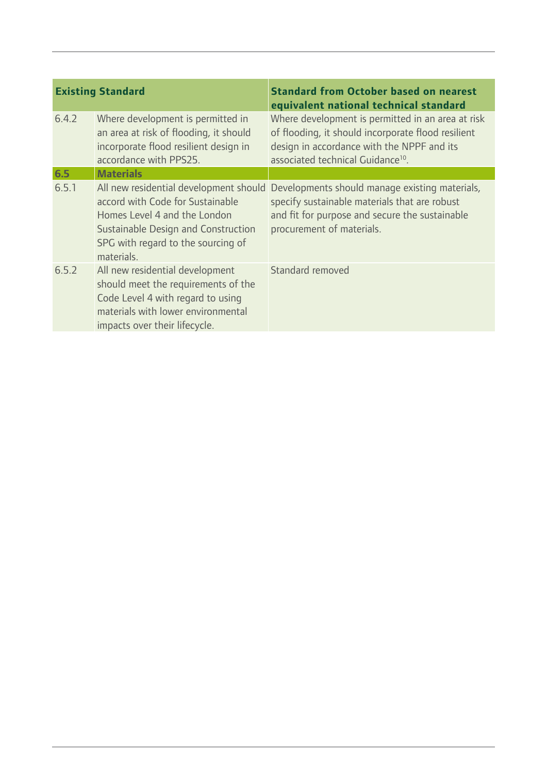|       | <b>Existing Standard</b>                                                                                                                                                                              | <b>Standard from October based on nearest</b><br>equivalent national technical standard                                                                                                                |
|-------|-------------------------------------------------------------------------------------------------------------------------------------------------------------------------------------------------------|--------------------------------------------------------------------------------------------------------------------------------------------------------------------------------------------------------|
| 6.4.2 | Where development is permitted in<br>an area at risk of flooding, it should<br>incorporate flood resilient design in<br>accordance with PPS25.                                                        | Where development is permitted in an area at risk<br>of flooding, it should incorporate flood resilient<br>design in accordance with the NPPF and its<br>associated technical Guidance <sup>10</sup> . |
| 6.5   | <b>Materials</b>                                                                                                                                                                                      |                                                                                                                                                                                                        |
| 6.5.1 | All new residential development should<br>accord with Code for Sustainable<br>Homes Level 4 and the London<br>Sustainable Design and Construction<br>SPG with regard to the sourcing of<br>materials. | Developments should manage existing materials,<br>specify sustainable materials that are robust<br>and fit for purpose and secure the sustainable<br>procurement of materials.                         |
| 6.5.2 | All new residential development<br>should meet the requirements of the<br>Code Level 4 with regard to using<br>materials with lower environmental<br>impacts over their lifecycle.                    | Standard removed                                                                                                                                                                                       |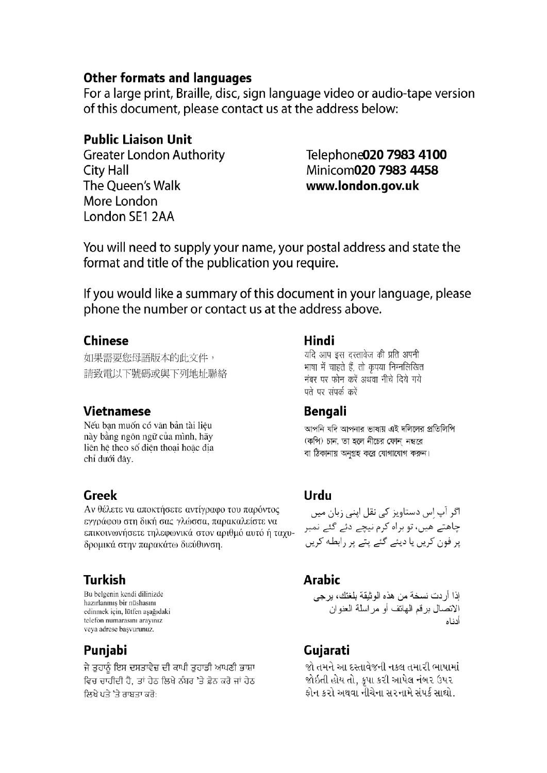### **Other formats and languages**

For a large print, Braille, disc, sign language video or audio-tape version of this document, please contact us at the address below:

# **Public Liaison Unit**

**Greater London Authority City Hall** The Queen's Walk More London London SE1 2AA

# Telephone020 7983 4100 Minicom020 7983 4458 www.london.gov.uk

You will need to supply your name, your postal address and state the format and title of the publication you require.

If you would like a summary of this document in your language, please phone the number or contact us at the address above.

# **Chinese**

如果需要您母語版本的此文件, 請致電以下號碼或與下列地址聯絡

# **Vietnamese**

Nếu ban muốn có văn bản tài liêu này bằng ngôn ngữ của mình, hãy liên hê theo số điên thoai hoặc đia chỉ dưới đây.

# Greek

Αν θέλετε να αποκτήσετε αντίγραφο του παρόντος εγγράφου στη δική σας γλώσσα, παρακαλείστε να επικοινωνήσετε τηλεφωνικά στον αριθμό αυτό ή ταχυδρομικά στην παρακάτω διεύθυνση.

# **Turkish**

Bu belgenin kendi dilinizde hazırlanmış bir nüshasını edinmek icin, lütfen asağıdaki telefon numarasını aravınız veva adrese basvurunuz.

# Punjabi

ਜੇ ਤਹਾਨੂੰ ਇਸ ਦਸਤਾਵੇਜ਼ ਦੀ ਕਾਪੀ ਤਹਾਡੀ ਆਪਣੀ ਭਾਸ਼ਾ ਵਿਚ ਚਾਹੀਦੀ ਹੈ. ਤਾਂ ਹੇਠ ਲਿਖੇ ਨੰਬਰ 'ਤੇ ਫ਼ੋਨ ਕਰੋ ਜਾਂ ਹੇਠ ਲਿਖੇ ਪਤੇ 'ਤੇ ਰਾਬਤਾ ਕਰੋ:

# Hindi

यदि आप इस दस्तावेज की प्रति अपनी भाषा में चाहते हैं, तो कृपया निम्नलिखित नंबर पर फोन करें अथवा नीचे दिये गये पते पर संपर्क करें

# Bengali

আপনি যদি আপনার ভাষায় এই দলিলের প্রতিলিপি (কপি) চান, তা হলে নীচের ফোন নম্বরে বা ঠিকানায় অনগ্রহ করে যোগাযোগ করুন।

# Urdu

اگر آپ اس دستاویز کی نقل اپنی زبان میں چاھتے ھیں، تو براہ کرم نیچے دئے گئے نمبر پر فون کریں یا دیئے گئے پتے پر رابطه کریں

# **Arabic**

اذا أر دت نسخة من هذه الو ثبقة بلغتك، بر جي الاتصال بر قم الهاتف أو مر اسلة العنو ان أدناه

# Gujarati

જો તમને આ દસ્તાવેજની નકલ તમારી ભાષામાં જોઇતી હોય તો. કપા કરી આપેલ નંબર ઉપર કોન કરો અથવા નીચેના સરનામે સંપર્ક સાઘો.